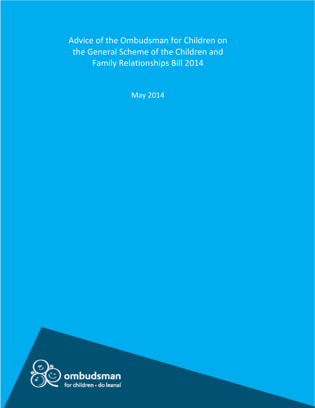Advice of the Ombudsman for Children on the General Scheme of the Children and Family Relationships Bill 2014

May 2014

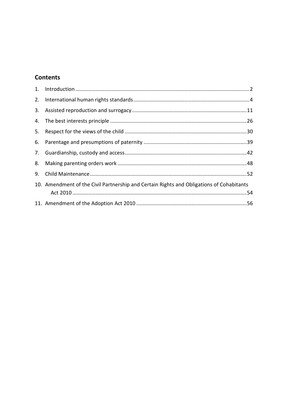# **Contents**

| 3. |                                                                                          |  |
|----|------------------------------------------------------------------------------------------|--|
|    |                                                                                          |  |
| 5. |                                                                                          |  |
|    |                                                                                          |  |
|    |                                                                                          |  |
|    |                                                                                          |  |
| 9. |                                                                                          |  |
|    | 10. Amendment of the Civil Partnership and Certain Rights and Obligations of Cohabitants |  |
|    |                                                                                          |  |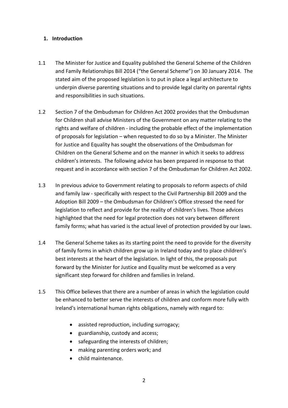#### <span id="page-2-0"></span>**1. Introduction**

- 1.1 The Minister for Justice and Equality published the General Scheme of the Children and Family Relationships Bill 2014 ("the General Scheme") on 30 January 2014. The stated aim of the proposed legislation is to put in place a legal architecture to underpin diverse parenting situations and to provide legal clarity on parental rights and responsibilities in such situations.
- 1.2 Section 7 of the Ombudsman for Children Act 2002 provides that the Ombudsman for Children shall advise Ministers of the Government on any matter relating to the rights and welfare of children - including the probable effect of the implementation of proposals for legislation – when requested to do so by a Minister. The Minister for Justice and Equality has sought the observations of the Ombudsman for Children on the General Scheme and on the manner in which it seeks to address children's interests. The following advice has been prepared in response to that request and in accordance with section 7 of the Ombudsman for Children Act 2002.
- 1.3 In previous advice to Government relating to proposals to reform aspects of child and family law - specifically with respect to the Civil Partnership Bill 2009 and the Adoption Bill 2009 – the Ombudsman for Children's Office stressed the need for legislation to reflect and provide for the reality of children's lives. Those advices highlighted that the need for legal protection does not vary between different family forms; what has varied is the actual level of protection provided by our laws.
- 1.4 The General Scheme takes as its starting point the need to provide for the diversity of family forms in which children grow up in Ireland today and to place children's best interests at the heart of the legislation. In light of this, the proposals put forward by the Minister for Justice and Equality must be welcomed as a very significant step forward for children and families in Ireland.
- 1.5 This Office believes that there are a number of areas in which the legislation could be enhanced to better serve the interests of children and conform more fully with Ireland's international human rights obligations, namely with regard to:
	- assisted reproduction, including surrogacy;
	- guardianship, custody and access;
	- safeguarding the interests of children;
	- making parenting orders work; and
	- child maintenance.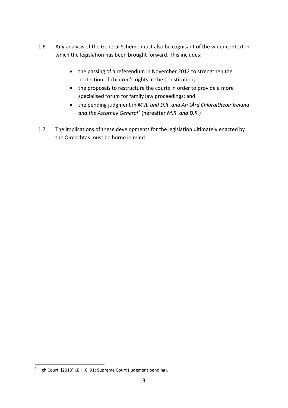- 1.6 Any analysis of the General Scheme must also be cognisant of the wider context in which the legislation has been brought forward. This includes:
	- the passing of a referendum in November 2012 to strengthen the protection of children's rights in the Constitution;
	- the proposals to restructure the courts in order to provide a more specialised forum for family law proceedings; and
	- the pending judgment in *M.R. and D.R. and An tÁrd Chláraitheoir Ireland and the Attorney General*[1](#page-3-0) (hereafter *M.R. and D.R.*)
- 1.7 The implications of these developments for the legislation ultimately enacted by the Oireachtas must be borne in mind.

<span id="page-3-0"></span> $1$  High Court, [2013] I.E.H.C. 91; Supreme Court (judgment pending).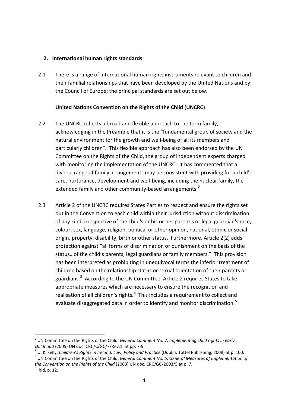#### <span id="page-4-0"></span>**2. International human rights standards**

2.1 There is a range of international human rights instruments relevant to children and their familial relationships that have been developed by the United Nations and by the Council of Europe; the principal standards are set out below.

### **United Nations Convention on the Rights of the Child (UNCRC)**

- 2.2 The UNCRC reflects a broad and flexible approach to the term family, acknowledging in the Preamble that it is the "fundamental group of society and the natural environment for the growth and well-being of all its members and particularly children". This flexible approach has also been endorsed by the UN Committee on the Rights of the Child, the group of independent experts charged with monitoring the implementation of the UNCRC. It has commented that a diverse range of family arrangements may be consistent with providing for a child's care, nurturance, development and well-being, including the nuclear family, the extended family and other community-based arrangements.<sup>[2](#page-4-1)</sup>
- 2.3 Article 2 of the UNCRC requires States Parties to respect and ensure the rights set out in the Convention to each child within their jurisdiction without discrimination of any kind, irrespective of the child's or his or her parent's or legal guardian's race, colour, sex, language, religion, political or other opinion, national, ethnic or social origin, property, disability, birth or other status. Furthermore, Article 2(2) adds protection against "all forms of discrimination or punishment on the basis of the status…of the child's parents, legal guardians or family members." This provision has been interpreted as prohibiting in unequivocal terms the inferior treatment of children based on the relationship status or sexual orientation of their parents or guardians.<sup>[3](#page-4-2)</sup> According to the UN Committee, Article 2 requires States to take appropriate measures which are necessary to ensure the recognition and realisation of all children's rights. $<sup>4</sup>$  $<sup>4</sup>$  $<sup>4</sup>$  This includes a requirement to collect and</sup> evaluate disaggregated data in order to identify and monitor discrimination.<sup>[5](#page-4-4)</sup>

<span id="page-4-1"></span><sup>&</sup>lt;sup>2</sup> UN Committee on the Rights of the Child, *General Comment No. 7: Implementing child rights in early* 

<span id="page-4-2"></span>childhood (2005) UN doc. CRC/C/GC/7/Rev.1. at pp. 7-9.<br><sup>3</sup> U. Kilkelly, *Children's Rights in Ireland: Law, Policy and Practice* (Dublin: Tottel Publishing, 2008) at p. 100.<br><sup>4</sup> UN Committee on the Rights of the Child, *Ge* 

<span id="page-4-3"></span>*the Convention on the Rights of the Child* (2003) UN doc. CRC/GC/2003/5 at p. 7.<br><sup>5</sup> Ibid. p. 12.

<span id="page-4-4"></span>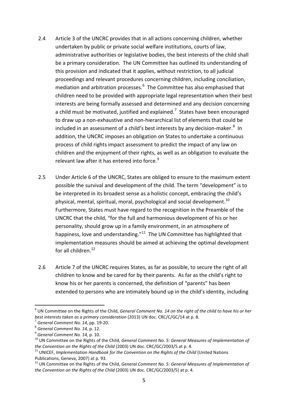- 2.4 Article 3 of the UNCRC provides that in all actions concerning children, whether undertaken by public or private social welfare institutions, courts of law, administrative authorities or legislative bodies, the best interests of the child shall be a primary consideration. The UN Committee has outlined its understanding of this provision and indicated that it applies, without restriction, to all judicial proceedings and relevant procedures concerning children, including conciliation, mediation and arbitration processes.<sup>[6](#page-5-0)</sup> The Committee has also emphasised that children need to be provided with appropriate legal representation when their best interests are being formally assessed and determined and any decision concerning a child must be motivated, justified and explained.<sup>[7](#page-5-1)</sup> States have been encouraged to draw up a non-exhaustive and non-hierarchical list of elements that could be included in an assessment of a child's best interests by any decision-maker.<sup>[8](#page-5-2)</sup> In addition, the UNCRC imposes an obligation on States to undertake a continuous process of child rights impact assessment to predict the impact of any law on children and the enjoyment of their rights, as well as an obligation to evaluate the relevant law after it has entered into force. $9$
- 2.5 Under Article 6 of the UNCRC, States are obliged to ensure to the maximum extent possible the survival and development of the child. The term "development" is to be interpreted in its broadest sense as a holistic concept, embracing the child's physical, mental, spiritual, moral, psychological and social development.<sup>10</sup> Furthermore, States must have regard to the recognition in the Preamble of the UNCRC that the child, "for the full and harmonious development of his or her personality, should grow up in a family environment, in an atmosphere of happiness, love and understanding."<sup>[11](#page-5-5)</sup> The UN Committee has highlighted that implementation measures should be aimed at achieving the optimal development for all children  $12$
- 2.6 Article 7 of the UNCRC requires States, as far as possible, to secure the right of all children to know and be cared for by their parents. As far as the child's right to know his or her parents is concerned, the definition of "parents" has been extended to persons who are intimately bound up in the child's identity, including

<span id="page-5-0"></span><sup>6</sup> UN Committee on the Rights of the Child, *General Comment No. 14 on the right of the child to have his or her*  best interests taken as a primary consideration (2013) UN doc. CRC/C/GC/14 at p. 8.<br><sup>7</sup> General Comment No. 14, pp. 19-20.<br><sup>8</sup> General Comment No. 14, p. 12.<br><sup>9</sup> General Comment No. 14, p. 10.<br><sup>10</sup> UN Committee on the Righ 1

<span id="page-5-1"></span>

<span id="page-5-2"></span>

<span id="page-5-3"></span>

<span id="page-5-4"></span>*the Convention on the Rights of the Child (2003) UN doc. CRC/GC/2003/5 at p. 4.* 11 UNICEF, *Implementation Handbook for the Convention on the Rights of the Child (United Nations*)

<span id="page-5-5"></span>Publications, Geneva, 2007) at p. 93.<br><sup>12</sup> UN Committee on the Rights of the Child, *General Comment No. 5: General Measures of Implementation of* 

<span id="page-5-6"></span>*the Convention on the Rights of the Child* (2003) UN doc. CRC/GC/2003/5) at p. 4.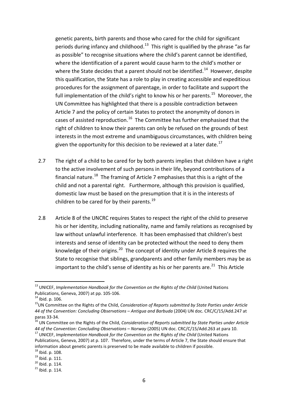genetic parents, birth parents and those who cared for the child for significant periods during infancy and childhood.<sup>[13](#page-6-0)</sup> This right is qualified by the phrase "as far as possible" to recognise situations where the child's parent cannot be identified, where the identification of a parent would cause harm to the child's mother or where the State decides that a parent should not be identified.<sup>14</sup> However, despite this qualification, the State has a role to play in creating accessible and expeditious procedures for the assignment of parentage, in order to facilitate and support the full implementation of the child's right to know his or her parents.<sup>[15](#page-6-2)</sup> Moreover, the UN Committee has highlighted that there is a possible contradiction between Article 7 and the policy of certain States to protect the anonymity of donors in cases of assisted reproduction.<sup>16</sup> The Committee has further emphasised that the right of children to know their parents can only be refused on the grounds of best interests in the most extreme and unambiguous circumstances, with children being given the opportunity for this decision to be reviewed at a later date.<sup>[17](#page-6-4)</sup>

- 2.7 The right of a child to be cared for by both parents implies that children have a right to the active involvement of such persons in their life, beyond contributions of a financial nature.<sup>18</sup> The framing of Article 7 emphasises that this is a right of the child and not a parental right. Furthermore, although this provision is qualified, domestic law must be based on the presumption that it is in the interests of children to be cared for by their parents.<sup>[19](#page-6-6)</sup>
- 2.8 Article 8 of the UNCRC requires States to respect the right of the child to preserve his or her identity, including nationality, name and family relations as recognised by law without unlawful interference. It has been emphasised that children's best interests and sense of identity can be protected without the need to deny them knowledge of their origins.<sup>20</sup> The concept of identity under Article 8 requires the State to recognise that siblings, grandparents and other family members may be as important to the child's sense of identity as his or her parents are. $^{21}$  $^{21}$  $^{21}$  This Article

<span id="page-6-0"></span><sup>13</sup> UNICEF, *Implementation Handbook for the Convention on the Rights of the Child* (United Nations

<span id="page-6-2"></span><span id="page-6-1"></span>

Publications, Geneva, 2007) at pp. 105-106.<br><sup>14</sup> Ibid. p. 106.<br><sup>15</sup>UN Committee on the Rights of the Child, *Consideration of Reports submitted by State Parties under Article 44 of the Convention: Concluding Observations – Antigua and Barbuda* (2004) UN doc. CRC/C/15/Add.247 at

<span id="page-6-3"></span>paras 33-34.<br><sup>16</sup> UN Committee on the Rights of the Child, *Consideration of Reports submitted by State Parties under Article*<br>44 of the Convention: Concluding Observations – Norway (2005) UN doc. CRC/C/15/Add.263 at para

<span id="page-6-4"></span><sup>&</sup>lt;sup>17</sup> UNICEF, *Implementation Handbook for the Convention on the Rights of the Child* (United Nations Publications, Geneva, 2007) at p. 107. Therefore, under the terms of Article 7, the State should ensure that information about genetic parents is preserved to be made available to children if possible.<br><sup>18</sup> Ibid. p. 108.<br><sup>19</sup> Ibid. p. 111.<br><sup>20</sup> Ibid. p. 114.<br><sup>21</sup> Ibid. p. 114.

<span id="page-6-5"></span>

<span id="page-6-7"></span><span id="page-6-6"></span>

<span id="page-6-8"></span>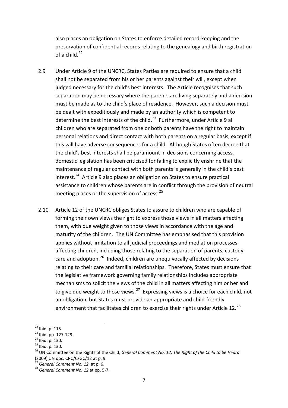also places an obligation on States to enforce detailed record-keeping and the preservation of confidential records relating to the genealogy and birth registration of a child. $^{22}$  $^{22}$  $^{22}$ 

- 2.9 Under Article 9 of the UNCRC, States Parties are required to ensure that a child shall not be separated from his or her parents against their will, except when judged necessary for the child's best interests. The Article recognises that such separation may be necessary where the parents are living separately and a decision must be made as to the child's place of residence. However, such a decision must be dealt with expeditiously and made by an authority which is competent to determine the best interests of the child.<sup>[23](#page-7-1)</sup> Furthermore, under Article 9 all children who are separated from one or both parents have the right to maintain personal relations and direct contact with both parents on a regular basis, except if this will have adverse consequences for a child. Although States often decree that the child's best interests shall be paramount in decisions concerning access, domestic legislation has been criticised for failing to explicitly enshrine that the maintenance of regular contact with both parents is generally in the child's best interest. [24](#page-7-2) Article 9 also places an obligation on States to ensure practical assistance to children whose parents are in conflict through the provision of neutral meeting places or the supervision of access.<sup>[25](#page-7-3)</sup>
- 2.10 Article 12 of the UNCRC obliges States to assure to children who are capable of forming their own views the right to express those views in all matters affecting them, with due weight given to those views in accordance with the age and maturity of the children. The UN Committee has emphasised that this provision applies without limitation to all judicial proceedings and mediation processes affecting children, including those relating to the separation of parents, custody, care and adoption.<sup>[26](#page-7-4)</sup> Indeed, children are unequivocally affected by decisions relating to their care and familial relationships. Therefore, States must ensure that the legislative framework governing family relationships includes appropriate mechanisms to solicit the views of the child in all matters affecting him or her and to give due weight to those views.<sup>27</sup> Expressing views is a choice for each child, not an obligation, but States must provide an appropriate and child-friendly environment that facilitates children to exercise their rights under Article 12.<sup>28</sup>

<span id="page-7-2"></span>

<span id="page-7-4"></span><span id="page-7-3"></span>

<span id="page-7-1"></span><span id="page-7-0"></span><sup>&</sup>lt;sup>22</sup> Ibid. p. 115.<br><sup>23</sup> Ibid. pp. 127-129.<br><sup>24</sup> Ibid. p. 130.<br><sup>25</sup> Ibid. p. 130.<br><sup>26</sup> UN Committee on the Rights of the Child, *General Comment No. 12: The Right of the Child to be Heard*  $(2009)$  UN doc. CRC/C/GC/12 at p. 9.<br><sup>27</sup> General Comment No. 12, at p. 6.

<span id="page-7-6"></span><span id="page-7-5"></span><sup>&</sup>lt;sup>28</sup> General Comment No. 12 at pp. 5-7.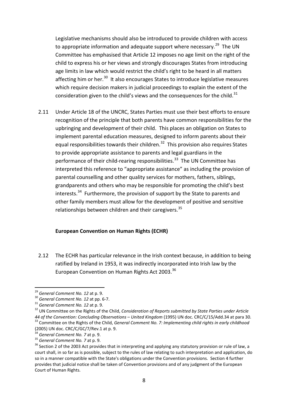Legislative mechanisms should also be introduced to provide children with access to appropriate information and adequate support where necessary.<sup>[29](#page-8-0)</sup> The UN Committee has emphasised that Article 12 imposes no age limit on the right of the child to express his or her views and strongly discourages States from introducing age limits in law which would restrict the child's right to be heard in all matters affecting him or her.<sup>30</sup> It also encourages States to introduce legislative measures which require decision makers in judicial proceedings to explain the extent of the consideration given to the child's views and the consequences for the child. $31$ 

2.11 Under Article 18 of the UNCRC, States Parties must use their best efforts to ensure recognition of the principle that both parents have common responsibilities for the upbringing and development of their child. This places an obligation on States to implement parental education measures, designed to inform parents about their equal responsibilities towards their children. $32$  This provision also requires States to provide appropriate assistance to parents and legal guardians in the performance of their child-rearing responsibilities.<sup>33</sup> The UN Committee has interpreted this reference to "appropriate assistance" as including the provision of parental counselling and other quality services for mothers, fathers, siblings, grandparents and others who may be responsible for promoting the child's best interests.<sup>34</sup> Furthermore, the provision of support by the State to parents and other family members must allow for the development of positive and sensitive relationships between children and their caregivers.<sup>[35](#page-8-6)</sup>

#### **European Convention on Human Rights (ECHR)**

2.12 The ECHR has particular relevance in the Irish context because, in addition to being ratified by Ireland in 1953, it was indirectly incorporated into Irish law by the European Convention on Human Rights Act 2003.<sup>[36](#page-8-7)</sup>

<span id="page-8-3"></span><span id="page-8-2"></span>

<span id="page-8-1"></span><span id="page-8-0"></span><sup>&</sup>lt;sup>29</sup> General Comment No. 12 at p. 9.<br><sup>30</sup> General Comment No. 12 at pp. 6-7.<br><sup>31</sup> General Comment No. 12 at p. 9.<br><sup>32</sup> UN Committee on the Rights of the Child. Consideration of Reports submitted by State Parties under Arti 44 of the Convention: Concluding Observations – United Kingdom (1995) UN doc. CRC/C/15/Add.34 at para 30.<br> $33$  Committee on the Rights of the Child, General Comment No. 7: Implementing child rights in early childhood (2005) UN doc. CRC/C/GC/7/Rev.1 at p. 9.<br> $34$  General Comment No. 7 at p. 9.

<span id="page-8-4"></span>

<span id="page-8-7"></span><span id="page-8-6"></span><span id="page-8-5"></span><sup>&</sup>lt;sup>35</sup> *General Comment No. 7* at p. 9.<br><sup>36</sup> Section 2 of the 2003 Act provides that in interpreting and applying any statutory provision or rule of law, a court shall, in so far as is possible, subject to the rules of law relating to such interpretation and application, do so in a manner compatible with the State's obligations under the Convention provisions. Section 4 further provides that judicial notice shall be taken of Convention provisions and of any judgment of the European Court of Human Rights.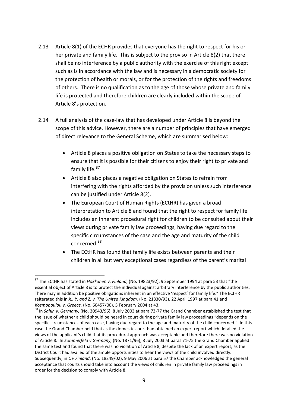- 2.13 Article 8(1) of the ECHR provides that everyone has the right to respect for his or her private and family life. This is subject to the proviso in Article 8(2) that there shall be no interference by a public authority with the exercise of this right except such as is in accordance with the law and is necessary in a democratic society for the protection of health or morals, or for the protection of the rights and freedoms of others. There is no qualification as to the age of those whose private and family life is protected and therefore children are clearly included within the scope of Article 8's protection.
- 2.14 A full analysis of the case-law that has developed under Article 8 is beyond the scope of this advice. However, there are a number of principles that have emerged of direct relevance to the General Scheme, which are summarised below:
	- Article 8 places a positive obligation on States to take the necessary steps to ensure that it is possible for their citizens to enjoy their right to private and family life.<sup>[37](#page-9-0)</sup>
	- Article 8 also places a negative obligation on States to refrain from interfering with the rights afforded by the provision unless such interference can be justified under Article 8(2).
	- The European Court of Human Rights (ECtHR) has given a broad interpretation to Article 8 and found that the right to respect for family life includes an inherent procedural right for children to be consulted about their views during private family law proceedings, having due regard to the specific circumstances of the case and the age and maturity of the child concerned.[38](#page-9-1)
	- The ECtHR has found that family life exists between parents and their children in all but very exceptional cases regardless of the parent's marital

1

<span id="page-9-0"></span><sup>37</sup> The ECtHR has stated in *Hokkanen v. Finland,* (No. 19823/92), 9 September 1994 at para 53 that "the essential object of Article 8 is to protect the individual against arbitrary interference by the public authorities. There may in addition be positive obligations inherent in an effective 'respect' for family life." The ECtHR reiterated this in *X., Y. and Z. v. The United Kingdom,* (No. 21830/93), 22 April 1997 at para 41 and *Kosmopoulou v. Greece,* (No. 60457/00), 5 February 2004 at 43.<br><sup>38</sup> In *Sahin v. Germany,* (No. 30943/96), 8 July 2003 at para 73-77 the Grand Chamber established the test that

<span id="page-9-1"></span>the issue of whether a child should be heard in court during private family law proceedings "depends on the specific circumstances of each case, having due regard to the age and maturity of the child concerned." In this case the Grand Chamber held that as the domestic court had obtained an expert report which detailed the views of the applicant's child that its procedural approach was acceptable and therefore there was no violation of Article 8. In *Sommerfeld v Germany,* (No. 1871/96), 8 July 2003 at paras 71-75 the Grand Chamber applied the same test and found that there was no violation of Article 8, despite the lack of an expert report, as the District Court had availed of the ample opportunities to hear the views of the child involved directly. Subsequently, in *C v Finland*, (No. 18249/02), 9 May 2006 at para 57 the Chamber acknowledged the general acceptance that courts should take into account the views of children in private family law proceedings in order for the decision to comply with Article 8.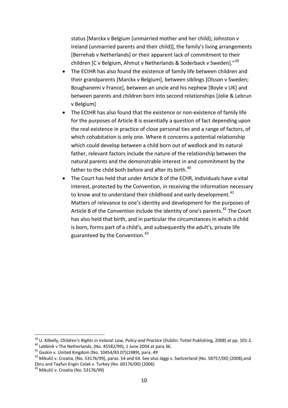status [Marckx v Belgium (unmarried mother and her child); Johnston v Ireland (unmarried parents and their child)], the family's living arrangements [Berrehab v Netherlands] or their apparent lack of commitment to their children [C v Belgium, Ahmut v Netherlands & Soderback v Sweden]."<sup>[39](#page-10-0)</sup>

- The ECtHR has also found the existence of family life between children and their grandparents [Marckx v Belgium], between siblings [Olsson v Sweden; Boughanemi v France], between an uncle and his nephew [Boyle v UK] and between parents and children born into second relationships [Jolie & Lebrun v Belgium]
- The ECtHR has also found that the existence or non-existence of family life for the purposes of Article 8 is essentially a question of fact depending upon the real existence in practice of close personal ties and a range of factors, of which cohabitation is only one. Where it concerns a potential relationship which could develop between a child born out of wedlock and its natural father, relevant factors include the nature of the relationship between the natural parents and the demonstrable interest in and commitment by the father to the child both before and after its birth.<sup>[40](#page-10-1)</sup>
- The Court has held that under Article 8 of the ECHR, individuals have a vital interest, protected by the Convention, in receiving the information necessary to know and to understand their childhood and early development.<sup>[41](#page-10-2)</sup> Matters of relevance to one's identity and development for the purposes of Article 8 of the Convention include the identity of one's parents.<sup>[42](#page-10-3)</sup> The Court has also held that birth, and in particular the circumstances in which a child is born, forms part of a child's, and subsequently the adult's, private life guaranteed by the Convention.<sup>[43](#page-10-4)</sup>

<span id="page-10-0"></span><sup>&</sup>lt;sup>39</sup> U. Kilkelly, *Children's Rights in Ireland: Law, Policy and Practice* (Dublin: Tottel Publishing, 2008) at pp. 101-2.<br><sup>40</sup> Lebbink v The Netherlands, (No. 45582/99), 1 June 2004 at para 36.<br><sup>41</sup> Gaskin v. United King

<span id="page-10-2"></span><span id="page-10-1"></span>

<span id="page-10-3"></span>Ebru and Tayfun Engin Colak v. Turkey (No. 60176/00) (2006)

<span id="page-10-4"></span><sup>43</sup> Mikulić v. Croatia (No. 53176/99)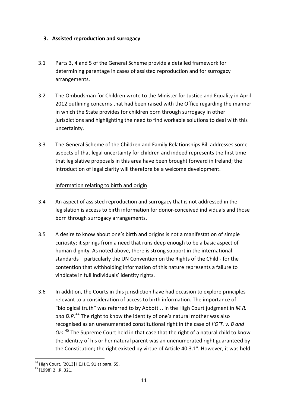### <span id="page-11-0"></span>**3. Assisted reproduction and surrogacy**

- 3.1 Parts 3, 4 and 5 of the General Scheme provide a detailed framework for determining parentage in cases of assisted reproduction and for surrogacy arrangements.
- 3.2 The Ombudsman for Children wrote to the Minister for Justice and Equality in April 2012 outlining concerns that had been raised with the Office regarding the manner in which the State provides for children born through surrogacy in other jurisdictions and highlighting the need to find workable solutions to deal with this uncertainty.
- 3.3 The General Scheme of the Children and Family Relationships Bill addresses some aspects of that legal uncertainty for children and indeed represents the first time that legislative proposals in this area have been brought forward in Ireland; the introduction of legal clarity will therefore be a welcome development.

### Information relating to birth and origin

- 3.4 An aspect of assisted reproduction and surrogacy that is not addressed in the legislation is access to birth information for donor-conceived individuals and those born through surrogacy arrangements.
- 3.5 A desire to know about one's birth and origins is not a manifestation of simple curiosity; it springs from a need that runs deep enough to be a basic aspect of human dignity. As noted above, there is strong support in the international standards – particularly the UN Convention on the Rights of the Child - for the contention that withholding information of this nature represents a failure to vindicate in full individuals' identity rights.
- 3.6 In addition, the Courts in this jurisdiction have had occasion to explore principles relevant to a consideration of access to birth information. The importance of "biological truth" was referred to by Abbott J. in the High Court judgment in *M.R. and D.R.*[44](#page-11-1) The right to know the identity of one's natural mother was also recognised as an unenumerated constitutional right in the case of *I'O'T. v. B and Ors*. [45](#page-11-2) The Supreme Court held in that case that the right of a natural child to know the identity of his or her natural parent was an unenumerated right guaranteed by the Constitution; the right existed by virtue of Article 40.3.1°. However, it was held

1

<span id="page-11-1"></span><sup>&</sup>lt;sup>44</sup> High Court, [2013] I.E.H.C. 91 at para. 55.<br><sup>45</sup> [1998] 2 I.R. 321.

<span id="page-11-2"></span>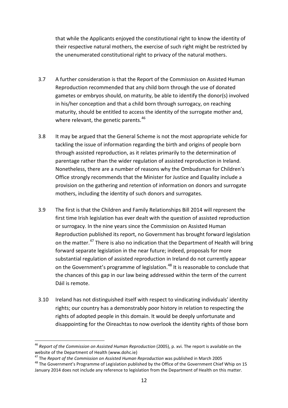that while the Applicants enjoyed the constitutional right to know the identity of their respective natural mothers, the exercise of such right might be restricted by the unenumerated constitutional right to privacy of the natural mothers.

- 3.7 A further consideration is that the Report of the Commission on Assisted Human Reproduction recommended that any child born through the use of donated gametes or embryos should, on maturity, be able to identify the donor(s) involved in his/her conception and that a child born through surrogacy, on reaching maturity, should be entitled to access the identity of the surrogate mother and, where relevant, the genetic parents.<sup>[46](#page-12-0)</sup>
- 3.8 It may be argued that the General Scheme is not the most appropriate vehicle for tackling the issue of information regarding the birth and origins of people born through assisted reproduction, as it relates primarily to the determination of parentage rather than the wider regulation of assisted reproduction in Ireland. Nonetheless, there are a number of reasons why the Ombudsman for Children's Office strongly recommends that the Minister for Justice and Equality include a provision on the gathering and retention of information on donors and surrogate mothers, including the identity of such donors and surrogates.
- 3.9 The first is that the Children and Family Relationships Bill 2014 will represent the first time Irish legislation has ever dealt with the question of assisted reproduction or surrogacy. In the nine years since the Commission on Assisted Human Reproduction published its report, no Government has brought forward legislation on the matter.<sup>[47](#page-12-1)</sup> There is also no indication that the Department of Health will bring forward separate legislation in the near future; indeed, proposals for more substantial regulation of assisted reproduction in Ireland do not currently appear on the Government's programme of legislation.<sup>[48](#page-12-2)</sup> It is reasonable to conclude that the chances of this gap in our law being addressed within the term of the current Dáil is remote.
- 3.10 Ireland has not distinguished itself with respect to vindicating individuals' identity rights; our country has a demonstrably poor history in relation to respecting the rights of adopted people in this domain. It would be deeply unfortunate and disappointing for the Oireachtas to now overlook the identity rights of those born

<span id="page-12-0"></span><sup>46</sup> *Report of the Commission on Assisted Human Reproduction* (2005), p. xvi. The report is available on the website of the Department of Health (www.dohc.ie)<br><sup>47</sup> The *Report of the Commission on Assisted Human Reproduction* was published in March 2005

<span id="page-12-2"></span><span id="page-12-1"></span><sup>&</sup>lt;sup>48</sup> The Government's Programme of Legislation published by the Office of the Government Chief Whip on 15 January 2014 does not include any reference to legislation from the Department of Health on this matter.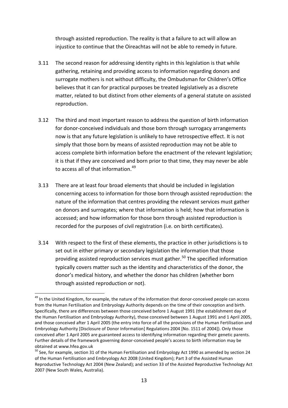through assisted reproduction. The reality is that a failure to act will allow an injustice to continue that the Oireachtas will not be able to remedy in future.

- 3.11 The second reason for addressing identity rights in this legislation is that while gathering, retaining and providing access to information regarding donors and surrogate mothers is not without difficulty, the Ombudsman for Children's Office believes that it can for practical purposes be treated legislatively as a discrete matter, related to but distinct from other elements of a general statute on assisted reproduction.
- 3.12 The third and most important reason to address the question of birth information for donor-conceived individuals and those born through surrogacy arrangements now is that any future legislation is unlikely to have retrospective effect. It is not simply that those born by means of assisted reproduction may not be able to access complete birth information before the enactment of the relevant legislation; it is that if they are conceived and born prior to that time, they may never be able to access all of that information.<sup>[49](#page-13-0)</sup>
- 3.13 There are at least four broad elements that should be included in legislation concerning access to information for those born through assisted reproduction: the nature of the information that centres providing the relevant services must gather on donors and surrogates; where that information is held; how that information is accessed; and how information for those born through assisted reproduction is recorded for the purposes of civil registration (i.e. on birth certificates).
- 3.14 With respect to the first of these elements, the practice in other jurisdictions is to set out in either primary or secondary legislation the information that those providing assisted reproduction services must gather.<sup>[50](#page-13-1)</sup> The specified information typically covers matter such as the identity and characteristics of the donor, the donor's medical history, and whether the donor has children (whether born through assisted reproduction or not).

<span id="page-13-0"></span><sup>&</sup>lt;sup>49</sup> In the United Kingdom, for example, the nature of the information that donor-conceived people can access from the Human Fertilisation and Embryology Authority depends on the time of their conception and birth. Specifically, there are differences between those conceived before 1 August 1991 (the establishment day of the Human Fertilisation and Embryology Authority), those conceived between 1 August 1991 and 1 April 2005, and those conceived after 1 April 2005 (the entry into force of all the provisions of the Human Fertilisation and Embryology Authority [Disclosure of Donor Information] Regulations 2004 [No. 1511 of 2004]). Only those conceived after 1 April 2005 are guaranteed access to identifying information regarding their genetic parents. Further details of the framework governing donor-conceived people's access to birth information may be obtained at www.hfea.gov.uk -

<span id="page-13-1"></span><sup>&</sup>lt;sup>50</sup> See, for example, section 31 of the Human Fertilisation and Embryology Act 1990 as amended by section 24 of the Human Fertilisation and Embryology Act 2008 (United Kingdom); Part 3 of the Assisted Human Reproductive Technology Act 2004 (New Zealand); and section 33 of the Assisted Reproductive Technology Act 2007 (New South Wales, Australia).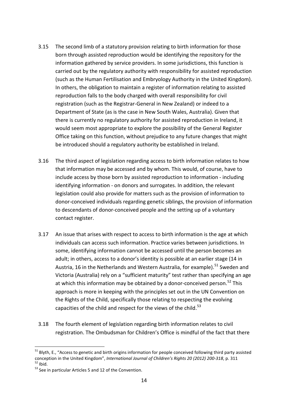- 3.15 The second limb of a statutory provision relating to birth information for those born through assisted reproduction would be identifying the repository for the information gathered by service providers. In some jurisdictions, this function is carried out by the regulatory authority with responsibility for assisted reproduction (such as the Human Fertilisation and Embryology Authority in the United Kingdom). In others, the obligation to maintain a register of information relating to assisted reproduction falls to the body charged with overall responsibility for civil registration (such as the Registrar-General in New Zealand) or indeed to a Department of State (as is the case in New South Wales, Australia). Given that there is currently no regulatory authority for assisted reproduction in Ireland, it would seem most appropriate to explore the possibility of the General Register Office taking on this function, without prejudice to any future changes that might be introduced should a regulatory authority be established in Ireland.
- 3.16 The third aspect of legislation regarding access to birth information relates to how that information may be accessed and by whom. This would, of course, have to include access by those born by assisted reproduction to information - including identifying information - on donors and surrogates. In addition, the relevant legislation could also provide for matters such as the provision of information to donor-conceived individuals regarding genetic siblings, the provision of information to descendants of donor-conceived people and the setting up of a voluntary contact register.
- 3.17 An issue that arises with respect to access to birth information is the age at which individuals can access such information. Practice varies between jurisdictions. In some, identifying information cannot be accessed until the person becomes an adult; in others, access to a donor's identity is possible at an earlier stage (14 in Austria, 16 in the Netherlands and Western Australia, for example).<sup>[51](#page-14-0)</sup> Sweden and Victoria (Australia) rely on a "sufficient maturity" test rather than specifying an age at which this information may be obtained by a donor-conceived person.<sup>[52](#page-14-1)</sup> This approach is more in keeping with the principles set out in the UN Convention on the Rights of the Child, specifically those relating to respecting the evolving capacities of the child and respect for the views of the child.<sup>[53](#page-14-2)</sup>
- 3.18 The fourth element of legislation regarding birth information relates to civil registration. The Ombudsman for Children's Office is mindful of the fact that there

<span id="page-14-0"></span><sup>&</sup>lt;sup>51</sup> Blyth, E., "Access to genetic and birth origins information for people conceived following third party assisted conception in the United Kingdom", *International Journal of Children's Rights 20 (2012) 200-318*, p. 311 <sup>52</sup> Ibid.<br><sup>52</sup> Ibid. 53 See in particular Articles 5 and 12 of the Convention. 1

<span id="page-14-2"></span><span id="page-14-1"></span>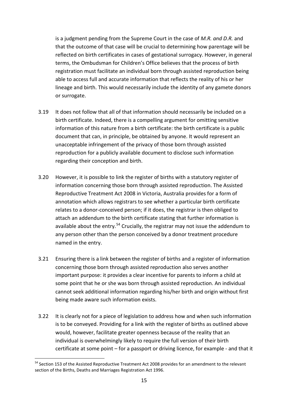is a judgment pending from the Supreme Court in the case of *M.R. and D.R.* and that the outcome of that case will be crucial to determining how parentage will be reflected on birth certificates in cases of gestational surrogacy. However, in general terms, the Ombudsman for Children's Office believes that the process of birth registration must facilitate an individual born through assisted reproduction being able to access full and accurate information that reflects the reality of his or her lineage and birth. This would necessarily include the identity of any gamete donors or surrogate.

- 3.19 It does not follow that all of that information should necessarily be included on a birth certificate. Indeed, there is a compelling argument for omitting sensitive information of this nature from a birth certificate: the birth certificate is a public document that can, in principle, be obtained by anyone. It would represent an unacceptable infringement of the privacy of those born through assisted reproduction for a publicly available document to disclose such information regarding their conception and birth.
- 3.20 However, it is possible to link the register of births with a statutory register of information concerning those born through assisted reproduction. The Assisted Reproductive Treatment Act 2008 in Victoria, Australia provides for a form of annotation which allows registrars to see whether a particular birth certificate relates to a donor-conceived person; if it does, the registrar is then obliged to attach an addendum to the birth certificate stating that further information is available about the entry.<sup>[54](#page-15-0)</sup> Crucially, the registrar may not issue the addendum to any person other than the person conceived by a donor treatment procedure named in the entry.
- 3.21 Ensuring there is a link between the register of births and a register of information concerning those born through assisted reproduction also serves another important purpose: it provides a clear incentive for parents to inform a child at some point that he or she was born through assisted reproduction. An individual cannot seek additional information regarding his/her birth and origin without first being made aware such information exists.
- 3.22 It is clearly not for a piece of legislation to address how and when such information is to be conveyed. Providing for a link with the register of births as outlined above would, however, facilitate greater openness because of the reality that an individual is overwhelmingly likely to require the full version of their birth certificate at some point – for a passport or driving licence, for example - and that it

<span id="page-15-0"></span><sup>&</sup>lt;sup>54</sup> Section 153 of the Assisted Reproductive Treatment Act 2008 provides for an amendment to the relevant section of the Births, Deaths and Marriages Registration Act 1996. 1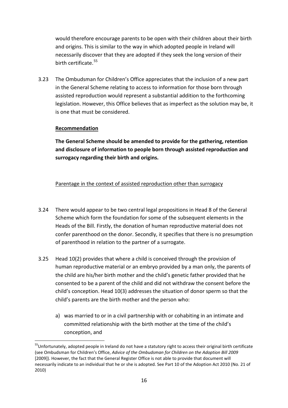would therefore encourage parents to be open with their children about their birth and origins. This is similar to the way in which adopted people in Ireland will necessarily discover that they are adopted if they seek the long version of their birth certificate.<sup>[55](#page-16-0)</sup>

3.23 The Ombudsman for Children's Office appreciates that the inclusion of a new part in the General Scheme relating to access to information for those born through assisted reproduction would represent a substantial addition to the forthcoming legislation. However, this Office believes that as imperfect as the solution may be, it is one that must be considered.

### **Recommendation**

-

**The General Scheme should be amended to provide for the gathering, retention and disclosure of information to people born through assisted reproduction and surrogacy regarding their birth and origins.**

### Parentage in the context of assisted reproduction other than surrogacy

- 3.24 There would appear to be two central legal propositions in Head 8 of the General Scheme which form the foundation for some of the subsequent elements in the Heads of the Bill. Firstly, the donation of human reproductive material does not confer parenthood on the donor. Secondly, it specifies that there is no presumption of parenthood in relation to the partner of a surrogate.
- 3.25 Head 10(2) provides that where a child is conceived through the provision of human reproductive material or an embryo provided by a man only, the parents of the child are his/her birth mother and the child's genetic father provided that he consented to be a parent of the child and did not withdraw the consent before the child's conception. Head 10(3) addresses the situation of donor sperm so that the child's parents are the birth mother and the person who:
	- a) was married to or in a civil partnership with or cohabiting in an intimate and committed relationship with the birth mother at the time of the child's conception, and

<span id="page-16-0"></span><sup>&</sup>lt;sup>55</sup>Unfortunately, adopted people in Ireland do not have a statutory right to access their original birth certificate (see Ombudsman for Children's Office, *Advice of the Ombudsman for Children on the Adoption Bill 2009*  [2009]). However, the fact that the General Register Office is not able to provide that document will necessarily indicate to an individual that he or she is adopted. See Part 10 of the Adoption Act 2010 (No. 21 of 2010)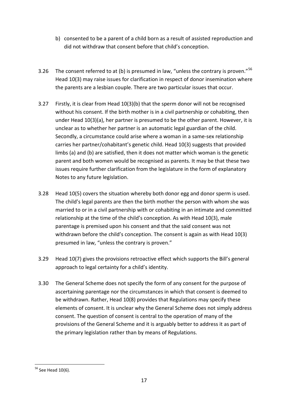- b) consented to be a parent of a child born as a result of assisted reproduction and did not withdraw that consent before that child's conception.
- 3.26 The consent referred to at (b) is presumed in law, "unless the contrary is proven."<sup>[56](#page-17-0)</sup> Head 10(3) may raise issues for clarification in respect of donor insemination where the parents are a lesbian couple. There are two particular issues that occur.
- 3.27 Firstly, it is clear from Head 10(3)(b) that the sperm donor will not be recognised without his consent. If the birth mother is in a civil partnership or cohabiting, then under Head 10(3)(a), her partner is presumed to be the other parent. However, it is unclear as to whether her partner is an automatic legal guardian of the child. Secondly, a circumstance could arise where a woman in a same-sex relationship carries her partner/cohabitant's genetic child. Head 10(3) suggests that provided limbs (a) and (b) are satisfied, then it does not matter which woman is the genetic parent and both women would be recognised as parents. It may be that these two issues require further clarification from the legislature in the form of explanatory Notes to any future legislation.
- 3.28 Head 10(5) covers the situation whereby both donor egg and donor sperm is used. The child's legal parents are then the birth mother the person with whom she was married to or in a civil partnership with or cohabiting in an intimate and committed relationship at the time of the child's conception. As with Head 10(3), male parentage is premised upon his consent and that the said consent was not withdrawn before the child's conception. The consent is again as with Head 10(3) presumed in law, "unless the contrary is proven."
- 3.29 Head 10(7) gives the provisions retroactive effect which supports the Bill's general approach to legal certainty for a child's identity.
- 3.30 The General Scheme does not specify the form of any consent for the purpose of ascertaining parentage nor the circumstances in which that consent is deemed to be withdrawn. Rather, Head 10(8) provides that Regulations may specify these elements of consent. It is unclear why the General Scheme does not simply address consent. The question of consent is central to the operation of many of the provisions of the General Scheme and it is arguably better to address it as part of the primary legislation rather than by means of Regulations.

<span id="page-17-0"></span> $56$  See Head 10(6). -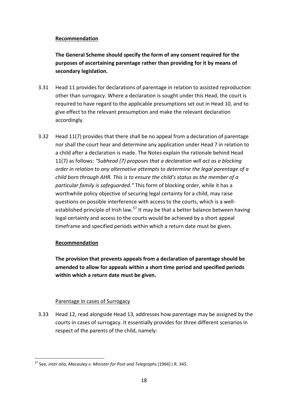### **Recommendation**

**The General Scheme should specify the form of any consent required for the purposes of ascertaining parentage rather than providing for it by means of secondary legislation.**

- 3.31 Head 11 provides for declarations of parentage in relation to assisted reproduction other than surrogacy. Where a declaration is sought under this Head, the court is required to have regard to the applicable presumptions set out in Head 10, and to give effect to the relevant presumption and make the relevant declaration accordingly.
- 3.32 Head 11(7) provides that there shall be no appeal from a declaration of parentage nor shall the court hear and determine any application under Head 7 in relation to a child after a declaration is made. The Notes explain the rationale behind Head 11(7) as follows: *"Subhead (7) proposes that a declaration will act as a blocking order in relation to any alternative attempts to determine the legal parentage of a child born through AHR. This is to ensure the child's status as the member of a particular family is safeguarded."* This form of blocking order, while it has a worthwhile policy objective of securing legal certainty for a child, may raise questions on possible interference with access to the courts, which is a well-established principle of Irish law.<sup>[57](#page-18-0)</sup> It may be that a better balance between having legal certainty and access to the courts would be achieved by a short appeal timeframe and specified periods within which a return date must be given.

## **Recommendation**

**The provision that prevents appeals from a declaration of parentage should be amended to allow for appeals within a short time period and specified periods within which a return date must be given.**

## Parentage in cases of Surrogacy

3.33 Head 12, read alongside Head 13, addresses how parentage may be assigned by the courts in cases of surrogacy. It essentially provides for three different scenarios in respect of the parents of the child, namely:

<span id="page-18-0"></span><sup>57</sup> See, *inter alia*, *Macauley v. Minister for Post and Telegraphs* [1966] I.R. 345. 1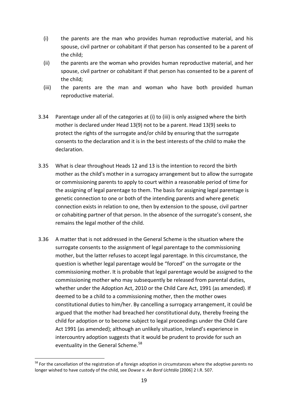- (i) the parents are the man who provides human reproductive material, and his spouse, civil partner or cohabitant if that person has consented to be a parent of the child;
- (ii) the parents are the woman who provides human reproductive material, and her spouse, civil partner or cohabitant if that person has consented to be a parent of the child;
- (iii) the parents are the man and woman who have both provided human reproductive material.
- 3.34 Parentage under all of the categories at (i) to (iii) is only assigned where the birth mother is declared under Head 13(9) not to be a parent. Head 13(9) seeks to protect the rights of the surrogate and/or child by ensuring that the surrogate consents to the declaration and it is in the best interests of the child to make the declaration.
- 3.35 What is clear throughout Heads 12 and 13 is the intention to record the birth mother as the child's mother in a surrogacy arrangement but to allow the surrogate or commissioning parents to apply to court within a reasonable period of time for the assigning of legal parentage to them. The basis for assigning legal parentage is genetic connection to one or both of the intending parents and where genetic connection exists in relation to one, then by extension to the spouse, civil partner or cohabiting partner of that person. In the absence of the surrogate's consent, she remains the legal mother of the child.
- 3.36 A matter that is not addressed in the General Scheme is the situation where the surrogate consents to the assignment of legal parentage to the commissioning mother, but the latter refuses to accept legal parentage. In this circumstance, the question is whether legal parentage would be "forced" on the surrogate or the commissioning mother. It is probable that legal parentage would be assigned to the commissioning mother who may subsequently be released from parental duties, whether under the Adoption Act, 2010 or the Child Care Act, 1991 (as amended). If deemed to be a child to a commissioning mother, then the mother owes constitutional duties to him/her. By cancelling a surrogacy arrangement, it could be argued that the mother had breached her constitutional duty, thereby freeing the child for adoption or to become subject to legal proceedings under the Child Care Act 1991 (as amended); although an unlikely situation, Ireland's experience in intercountry adoption suggests that it would be prudent to provide for such an eventuality in the General Scheme.<sup>[58](#page-19-0)</sup>

<span id="page-19-0"></span><sup>&</sup>lt;sup>58</sup> For the cancellation of the registration of a foreign adoption in circumstances where the adoptive parents no longer wished to have custody of the child, see *Dowse v. An Bord Uchtála* [2006] 2 I.R. 507. 1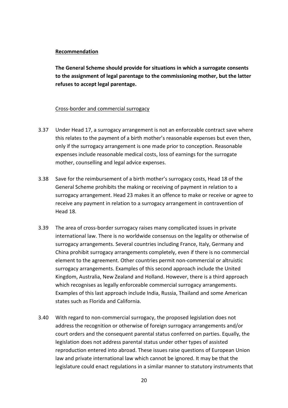#### **Recommendation**

**The General Scheme should provide for situations in which a surrogate consents to the assignment of legal parentage to the commissioning mother, but the latter refuses to accept legal parentage.**

#### Cross-border and commercial surrogacy

- 3.37 Under Head 17, a surrogacy arrangement is not an enforceable contract save where this relates to the payment of a birth mother's reasonable expenses but even then, only if the surrogacy arrangement is one made prior to conception. Reasonable expenses include reasonable medical costs, loss of earnings for the surrogate mother, counselling and legal advice expenses.
- 3.38 Save for the reimbursement of a birth mother's surrogacy costs, Head 18 of the General Scheme prohibits the making or receiving of payment in relation to a surrogacy arrangement. Head 23 makes it an offence to make or receive or agree to receive any payment in relation to a surrogacy arrangement in contravention of Head 18.
- 3.39 The area of cross-border surrogacy raises many complicated issues in private international law. There is no worldwide consensus on the legality or otherwise of surrogacy arrangements. Several countries including France, Italy, Germany and China prohibit surrogacy arrangements completely, even if there is no commercial element to the agreement. Other countries permit non-commercial or altruistic surrogacy arrangements. Examples of this second approach include the United Kingdom, Australia, New Zealand and Holland. However, there is a third approach which recognises as legally enforceable commercial surrogacy arrangements. Examples of this last approach include India, Russia, Thailand and some American states such as Florida and California.
- 3.40 With regard to non-commercial surrogacy, the proposed legislation does not address the recognition or otherwise of foreign surrogacy arrangements and/or court orders and the consequent parental status conferred on parties. Equally, the legislation does not address parental status under other types of assisted reproduction entered into abroad. These issues raise questions of European Union law and private international law which cannot be ignored. It may be that the legislature could enact regulations in a similar manner to statutory instruments that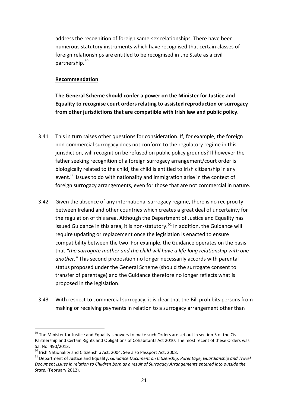address the recognition of foreign same-sex relationships. There have been numerous statutory instruments which have recognised that certain classes of foreign relationships are entitled to be recognised in the State as a civil partnership.[59](#page-21-0)

#### **Recommendation**

**The General Scheme should confer a power on the Minister for Justice and Equality to recognise court orders relating to assisted reproduction or surrogacy from other jurisdictions that are compatible with Irish law and public policy.**

- 3.41 This in turn raises other questions for consideration. If, for example, the foreign non-commercial surrogacy does not conform to the regulatory regime in this jurisdiction, will recognition be refused on public policy grounds? If however the father seeking recognition of a foreign surrogacy arrangement/court order is biologically related to the child, the child is entitled to Irish citizenship in any event.<sup>[60](#page-21-1)</sup> Issues to do with nationality and immigration arise in the context of foreign surrogacy arrangements, even for those that are not commercial in nature.
- 3.42 Given the absence of any international surrogacy regime, there is no reciprocity between Ireland and other countries which creates a great deal of uncertainty for the regulation of this area. Although the Department of Justice and Equality has issued Guidance in this area, it is non-statutory.<sup>[61](#page-21-2)</sup> In addition, the Guidance will require updating or replacement once the legislation is enacted to ensure compatibility between the two. For example, the Guidance operates on the basis that *"the surrogate mother and the child will have a life-long relationship with one another."* This second proposition no longer necessarily accords with parental status proposed under the General Scheme (should the surrogate consent to transfer of parentage) and the Guidance therefore no longer reflects what is proposed in the legislation.
- 3.43 With respect to commercial surrogacy, it is clear that the Bill prohibits persons from making or receiving payments in relation to a surrogacy arrangement other than

<span id="page-21-0"></span><sup>&</sup>lt;sup>59</sup> The Minister for Justice and Equality's powers to make such Orders are set out in section 5 of the Civil Partnership and Certain Rights and Obligations of Cohabitants Act 2010. The most recent of these Orders was S.I. No. 490/2013.<br><sup>60</sup> Irish Nationalitv and Citizenship Act, 2004. See also Passport Act, 2008.

<span id="page-21-2"></span><span id="page-21-1"></span><sup>&</sup>lt;sup>61</sup> Department of Justice and Equality, Guidance Document on Citizenship, Parentage, Guardianship and Travel *Document Issues in relation to Children born as a result of Surrogacy Arrangements entered into outside the State*, (February 2012).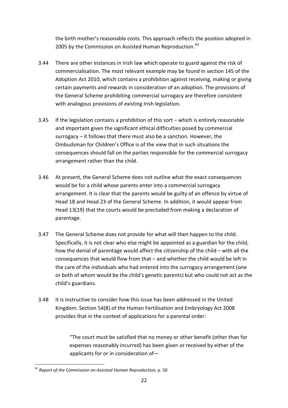the birth mother's reasonable costs. This approach reflects the position adopted in 2005 by the Commission on Assisted Human Reproduction.<sup>[62](#page-22-0)</sup>

- 3.44 There are other instances in Irish law which operate to guard against the risk of commercialisation. The most relevant example may be found in section 145 of the Adoption Act 2010, which contains a prohibition against receiving, making or giving certain payments and rewards in consideration of an adoption. The provisions of the General Scheme prohibiting commercial surrogacy are therefore consistent with analogous provisions of existing Irish legislation.
- 3.45 If the legislation contains a prohibition of this sort which is entirely reasonable and important given the significant ethical difficulties posed by commercial surrogacy – it follows that there must also be a sanction. However, the Ombudsman for Children's Office is of the view that in such situations the consequences should fall on the parties responsible for the commercial surrogacy arrangement rather than the child.
- 3.46 At present, the General Scheme does not outline what the exact consequences would be for a child whose parents enter into a commercial surrogacy arrangement. It is clear that the parents would be guilty of an offence by virtue of Head 18 and Head 23 of the General Scheme. In addition, it would appear from Head 13(19) that the courts would be precluded from making a declaration of parentage.
- 3.47 The General Scheme does not provide for what will then happen to the child. Specifically, it is not clear who else might be appointed as a guardian for the child, how the denial of parentage would affect the citizenship of the child – with all the consequences that would flow from that – and whether the child would be left in the care of the individuals who had entered into the surrogacy arrangement (one or both of whom would be the child's genetic parents) but who could not act as the child's guardians.
- 3.48 It is instructive to consider how this issue has been addressed in the United Kingdom. Section 54(8) of the Human Fertilisation and Embryology Act 2008 provides that in the context of applications for a parental order:

"The court must be satisfied that no money or other benefit (other than for expenses reasonably incurred) has been given or received by either of the applicants for or in consideration of—

<span id="page-22-0"></span><sup>62</sup> *Report of the Commission on Assisted Human Reproduction,* p. 50 -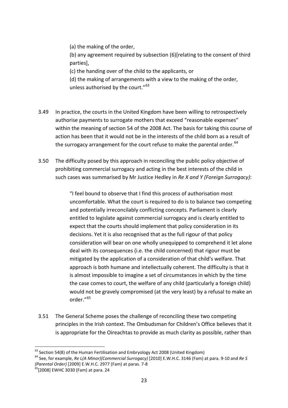(a) the making of the order,

(b) any agreement required by subsection (6)[relating to the consent of third parties],

(c) the handing over of the child to the applicants, or

(d) the making of arrangements with a view to the making of the order, unless authorised by the court."<sup>[63](#page-23-0)</sup>

- 3.49 In practice, the courts in the United Kingdom have been willing to retrospectively authorise payments to surrogate mothers that exceed "reasonable expenses" within the meaning of section 54 of the 2008 Act. The basis for taking this course of action has been that it would not be in the interests of the child born as a result of the surrogacy arrangement for the court refuse to make the parental order.  $64$
- 3.50 The difficulty posed by this approach in reconciling the public policy objective of prohibiting commercial surrogacy and acting in the best interests of the child in such cases was summarised by Mr Justice Hedley in *Re X and Y (Foreign Surrogacy)*:

"I feel bound to observe that I find this process of authorisation most uncomfortable. What the court is required to do is to balance two competing and potentially irreconcilably conflicting concepts. Parliament is clearly entitled to legislate against commercial surrogacy and is clearly entitled to expect that the courts should implement that policy consideration in its decisions. Yet it is also recognised that as the full rigour of that policy consideration will bear on one wholly unequipped to comprehend it let alone deal with its consequences (i.e. the child concerned) that rigour must be mitigated by the application of a consideration of that child's welfare. That approach is both humane and intellectually coherent. The difficulty is that it is almost impossible to imagine a set of circumstances in which by the time the case comes to court, the welfare of any child (particularly a foreign child) would not be gravely compromised (at the very least) by a refusal to make an order."[65](#page-23-2)

3.51 The General Scheme poses the challenge of reconciling these two competing principles in the Irish context. The Ombudsman for Children's Office believes that it is appropriate for the Oireachtas to provide as much clarity as possible, rather than

<sup>1</sup> 

<span id="page-23-1"></span><span id="page-23-0"></span><sup>&</sup>lt;sup>63</sup> Section 54(8) of the Human Fertilisation and Embryology Act 2008 (United Kingdom)<br><sup>64</sup> See, for example, *Re L(A Minor)(Commercial Surrogacy)* [2010] E.W.H.C. 3146 (Fam) at para. 9-10 and *Re S (Parental Order)* [2009] E.W.H.C. 2977 (Fam) at paras. 7-8<br><sup>65</sup>[2008] EWHC 3030 (Fam) at para. 24

<span id="page-23-2"></span>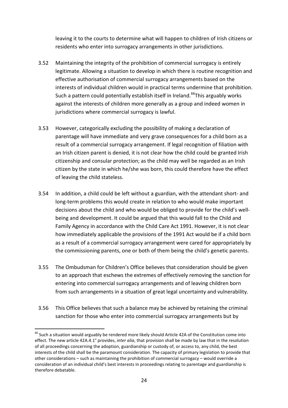leaving it to the courts to determine what will happen to children of Irish citizens or residents who enter into surrogacy arrangements in other jurisdictions.

- 3.52 Maintaining the integrity of the prohibition of commercial surrogacy is entirely legitimate. Allowing a situation to develop in which there is routine recognition and effective authorisation of commercial surrogacy arrangements based on the interests of individual children would in practical terms undermine that prohibition. Such a pattern could potentially establish itself in Ireland.<sup>[66](#page-24-0)</sup>This arguably works against the interests of children more generally as a group and indeed women in jurisdictions where commercial surrogacy is lawful.
- 3.53 However, categorically excluding the possibility of making a declaration of parentage will have immediate and very grave consequences for a child born as a result of a commercial surrogacy arrangement. If legal recognition of filiation with an Irish citizen parent is denied, it is not clear how the child could be granted Irish citizenship and consular protection; as the child may well be regarded as an Irish citizen by the state in which he/she was born, this could therefore have the effect of leaving the child stateless.
- 3.54 In addition, a child could be left without a guardian, with the attendant short- and long-term problems this would create in relation to who would make important decisions about the child and who would be obliged to provide for the child's wellbeing and development. It could be argued that this would fall to the Child and Family Agency in accordance with the Child Care Act 1991. However, it is not clear how immediately applicable the provisions of the 1991 Act would be if a child born as a result of a commercial surrogacy arrangement were cared for appropriately by the commissioning parents, one or both of them being the child's genetic parents.
- 3.55 The Ombudsman for Children's Office believes that consideration should be given to an approach that eschews the extremes of effectively removing the sanction for entering into commercial surrogacy arrangements and of leaving children born from such arrangements in a situation of great legal uncertainty and vulnerability.
- 3.56 This Office believes that such a balance may be achieved by retaining the criminal sanction for those who enter into commercial surrogacy arrangements but by

<span id="page-24-0"></span> $66$  Such a situation would arguably be rendered more likely should Article 42A of the Constitution come into effect. The new article 42A.4.1° provides, *inter alia*, that provision shall be made by law that in the resolution of all proceedings concerning the adoption, guardianship or custody of, or access to, any child, the best interests of the child shall be the paramount consideration. The capacity of primary legislation to provide that other considerations – such as maintaining the prohibition of commercial surrogacy – would override a consideration of an individual child's best interests in proceedings relating to parentage and guardianship is therefore debatable.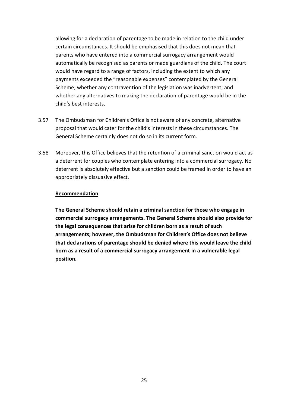allowing for a declaration of parentage to be made in relation to the child under certain circumstances. It should be emphasised that this does not mean that parents who have entered into a commercial surrogacy arrangement would automatically be recognised as parents or made guardians of the child. The court would have regard to a range of factors, including the extent to which any payments exceeded the "reasonable expenses" contemplated by the General Scheme; whether any contravention of the legislation was inadvertent; and whether any alternatives to making the declaration of parentage would be in the child's best interests.

- 3.57 The Ombudsman for Children's Office is not aware of any concrete, alternative proposal that would cater for the child's interests in these circumstances. The General Scheme certainly does not do so in its current form.
- 3.58 Moreover, this Office believes that the retention of a criminal sanction would act as a deterrent for couples who contemplate entering into a commercial surrogacy. No deterrent is absolutely effective but a sanction could be framed in order to have an appropriately dissuasive effect.

#### **Recommendation**

**The General Scheme should retain a criminal sanction for those who engage in commercial surrogacy arrangements. The General Scheme should also provide for the legal consequences that arise for children born as a result of such arrangements; however, the Ombudsman for Children's Office does not believe that declarations of parentage should be denied where this would leave the child born as a result of a commercial surrogacy arrangement in a vulnerable legal position.**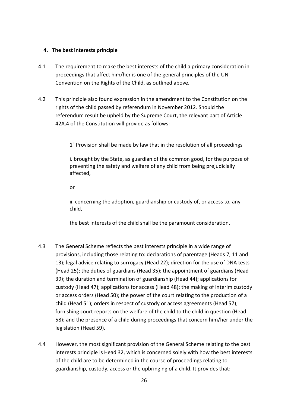#### <span id="page-26-0"></span>**4. The best interests principle**

- 4.1 The requirement to make the best interests of the child a primary consideration in proceedings that affect him/her is one of the general principles of the UN Convention on the Rights of the Child, as outlined above.
- 4.2 This principle also found expression in the amendment to the Constitution on the rights of the child passed by referendum in November 2012. Should the referendum result be upheld by the Supreme Court, the relevant part of Article 42A.4 of the Constitution will provide as follows:

1° Provision shall be made by law that in the resolution of all proceedings—

i. brought by the State, as guardian of the common good, for the purpose of preventing the safety and welfare of any child from being prejudicially affected,

or

ii. concerning the adoption, guardianship or custody of, or access to, any child,

the best interests of the child shall be the paramount consideration.

- 4.3 The General Scheme reflects the best interests principle in a wide range of provisions, including those relating to: declarations of parentage (Heads 7, 11 and 13); legal advice relating to surrogacy (Head 22); direction for the use of DNA tests (Head 25); the duties of guardians (Head 35); the appointment of guardians (Head 39); the duration and termination of guardianship (Head 44); applications for custody (Head 47); applications for access (Head 48); the making of interim custody or access orders (Head 50); the power of the court relating to the production of a child (Head 51); orders in respect of custody or access agreements (Head 57); furnishing court reports on the welfare of the child to the child in question (Head 58); and the presence of a child during proceedings that concern him/her under the legislation (Head 59).
- 4.4 However, the most significant provision of the General Scheme relating to the best interests principle is Head 32, which is concerned solely with how the best interests of the child are to be determined in the course of proceedings relating to guardianship, custody, access or the upbringing of a child. It provides that: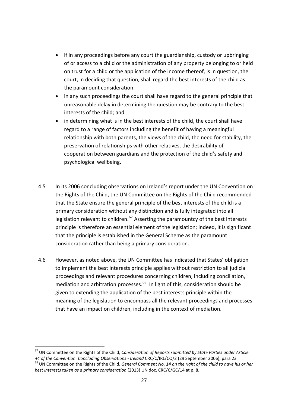- if in any proceedings before any court the guardianship, custody or upbringing of or access to a child or the administration of any property belonging to or held on trust for a child or the application of the income thereof, is in question, the court, in deciding that question, shall regard the best interests of the child as the paramount consideration;
- in any such proceedings the court shall have regard to the general principle that unreasonable delay in determining the question may be contrary to the best interests of the child; and
- in determining what is in the best interests of the child, the court shall have regard to a range of factors including the benefit of having a meaningful relationship with both parents, the views of the child, the need for stability, the preservation of relationships with other relatives, the desirability of cooperation between guardians and the protection of the child's safety and psychological wellbeing.
- 4.5 In its 2006 concluding observations on Ireland's report under the UN Convention on the Rights of the Child, the UN Committee on the Rights of the Child recommended that the State ensure the general principle of the best interests of the child is a primary consideration without any distinction and is fully integrated into all legislation relevant to children. $67$  Asserting the paramountcy of the best interests principle is therefore an essential element of the legislation; indeed, it is significant that the principle is established in the General Scheme as the paramount consideration rather than being a primary consideration.
- 4.6 However, as noted above, the UN Committee has indicated that States' obligation to implement the best interests principle applies without restriction to all judicial proceedings and relevant procedures concerning children, including conciliation, mediation and arbitration processes. $^{68}$  In light of this, consideration should be given to extending the application of the best interests principle within the meaning of the legislation to encompass all the relevant proceedings and processes that have an impact on children, including in the context of mediation.

1

<span id="page-27-1"></span><span id="page-27-0"></span><sup>67</sup> UN Committee on the Rights of the Child, *Consideration of Reports submitted by State Parties under Article*  44 of the Convention: Concluding Observations - Ireland CRC/C/IRL/CO/2 (29 September 2006), para 23<br><sup>68</sup> UN Committee on the Rights of the Child, General Comment No. 14 on the right of the child to have his or her *best interests taken as a primary consideration* (2013) UN doc. CRC/C/GC/14 at p. 8.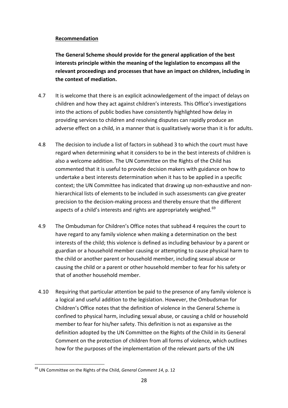### **Recommendation**

**The General Scheme should provide for the general application of the best interests principle within the meaning of the legislation to encompass all the relevant proceedings and processes that have an impact on children, including in the context of mediation.**

- 4.7 It is welcome that there is an explicit acknowledgement of the impact of delays on children and how they act against children's interests. This Office's investigations into the actions of public bodies have consistently highlighted how delay in providing services to children and resolving disputes can rapidly produce an adverse effect on a child, in a manner that is qualitatively worse than it is for adults.
- 4.8 The decision to include a list of factors in subhead 3 to which the court must have regard when determining what it considers to be in the best interests of children is also a welcome addition. The UN Committee on the Rights of the Child has commented that it is useful to provide decision makers with guidance on how to undertake a best interests determination when it has to be applied in a specific context; the UN Committee has indicated that drawing up non-exhaustive and nonhierarchical lists of elements to be included in such assessments can give greater precision to the decision-making process and thereby ensure that the different aspects of a child's interests and rights are appropriately weighed.<sup>[69](#page-28-0)</sup>
- 4.9 The Ombudsman for Children's Office notes that subhead 4 requires the court to have regard to any family violence when making a determination on the best interests of the child; this violence is defined as including behaviour by a parent or guardian or a household member causing or attempting to cause physical harm to the child or another parent or household member, including sexual abuse or causing the child or a parent or other household member to fear for his safety or that of another household member.
- 4.10 Requiring that particular attention be paid to the presence of any family violence is a logical and useful addition to the legislation. However, the Ombudsman for Children's Office notes that the definition of violence in the General Scheme is confined to physical harm, including sexual abuse, or causing a child or household member to fear for his/her safety. This definition is not as expansive as the definition adopted by the UN Committee on the Rights of the Child in its General Comment on the protection of children from all forms of violence, which outlines how for the purposes of the implementation of the relevant parts of the UN

<span id="page-28-0"></span><sup>69</sup> UN Committee on the Rights of the Child, *General Comment 14*, p. 12 -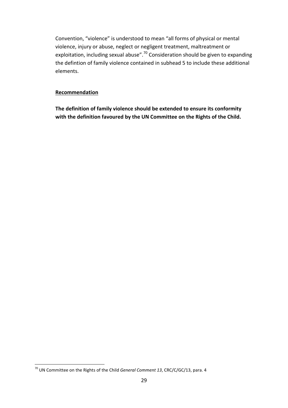Convention, "violence" is understood to mean "all forms of physical or mental violence, injury or abuse, neglect or negligent treatment, maltreatment or exploitation, including sexual abuse".<sup>[70](#page-29-0)</sup> Consideration should be given to expanding the defintion of family violence contained in subhead 5 to include these additional elements.

#### **Recommendation**

**The definition of family violence should be extended to ensure its conformity with the definition favoured by the UN Committee on the Rights of the Child.**

<span id="page-29-0"></span><sup>70</sup> UN Committee on the Rights of the Child *General Comment 13*, CRC/C/GC/13, para. 4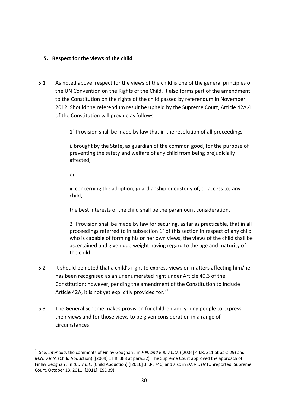### <span id="page-30-0"></span>**5. Respect for the views of the child**

5.1 As noted above, respect for the views of the child is one of the general principles of the UN Convention on the Rights of the Child. It also forms part of the amendment to the Constitution on the rights of the child passed by referendum in November 2012. Should the referendum result be upheld by the Supreme Court, Article 42A.4 of the Constitution will provide as follows:

1° Provision shall be made by law that in the resolution of all proceedings—

i. brought by the State, as guardian of the common good, for the purpose of preventing the safety and welfare of any child from being prejudicially affected,

or

1

ii. concerning the adoption, guardianship or custody of, or access to, any child,

the best interests of the child shall be the paramount consideration.

2° Provision shall be made by law for securing, as far as practicable, that in all proceedings referred to in subsection 1° of this section in respect of any child who is capable of forming his or her own views, the views of the child shall be ascertained and given due weight having regard to the age and maturity of the child.

- 5.2 It should be noted that a child's right to express views on matters affecting him/her has been recognised as an unenumerated right under Article 40.3 of the Constitution; however, pending the amendment of the Constitution to include Article 42A, it is not yet explicitly provided for. $71$
- 5.3 The General Scheme makes provision for children and young people to express their views and for those views to be given consideration in a range of circumstances:

<span id="page-30-1"></span><sup>71</sup> See, *inter alia*, the comments of Finlay Geoghan J in *F.N. and E.B. v C.O*. ([2004] 4 I.R. 311 at para 29) and *M.N. v R.N.* (Child Abduction) ([2009] 1 I.R. 388 at para.32). The Supreme Court approved the approach of Finlay Geoghan J in *B.U v B.E.* (Child Abduction) ([2010] 3 I.R. 740) and also in *UA v UTN* (Unreported, Supreme Court, October 13, 2011; [2011] IESC 39)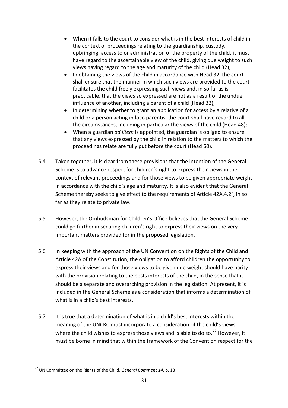- When it falls to the court to consider what is in the best interests of child in the context of proceedings relating to the guardianship, custody, upbringing, access to or administration of the property of the child, it must have regard to the ascertainable view of the child, giving due weight to such views having regard to the age and maturity of the child (Head 32);
- In obtaining the views of the child in accordance with Head 32, the court shall ensure that the manner in which such views are provided to the court facilitates the child freely expressing such views and, in so far as is practicable, that the views so expressed are not as a result of the undue influence of another, including a parent of a child (Head 32);
- In determining whether to grant an application for access by a relative of a child or a person acting in loco parentis, the court shall have regard to all the circumstances, including in particular the views of the child (Head 48);
- When a guardian *ad litem* is appointed, the guardian is obliged to ensure that any views expressed by the child in relation to the matters to which the proceedings relate are fully put before the court (Head 60).
- 5.4 Taken together, it is clear from these provisions that the intention of the General Scheme is to advance respect for children's right to express their views in the context of relevant proceedings and for those views to be given appropriate weight in accordance with the child's age and maturity. It is also evident that the General Scheme thereby seeks to give effect to the requirements of Article 42A.4.2°, in so far as they relate to private law.
- 5.5 However, the Ombudsman for Children's Office believes that the General Scheme could go further in securing children's right to express their views on the very important matters provided for in the proposed legislation.
- 5.6 In keeping with the approach of the UN Convention on the Rights of the Child and Article 42A of the Constitution, the obligation to afford children the opportunity to express their views and for those views to be given due weight should have parity with the provision relating to the bests interests of the child, in the sense that it should be a separate and overarching provision in the legislation. At present, it is included in the General Scheme as a consideration that informs a determination of what is in a child's best interests.
- 5.7 It is true that a determination of what is in a child's best interests within the meaning of the UNCRC must incorporate a consideration of the child's views, where the child wishes to express those views and is able to do so.<sup>[72](#page-31-0)</sup> However, it must be borne in mind that within the framework of the Convention respect for the

<span id="page-31-0"></span><sup>72</sup> UN Committee on the Rights of the Child, *General Comment 14*, p. 13 -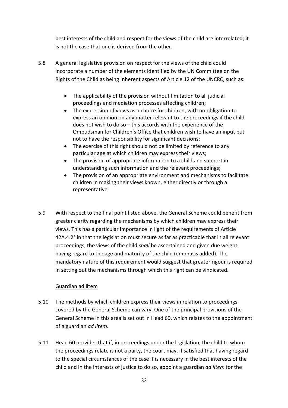best interests of the child and respect for the views of the child are interrelated; it is not the case that one is derived from the other.

- 5.8 A general legislative provision on respect for the views of the child could incorporate a number of the elements identified by the UN Committee on the Rights of the Child as being inherent aspects of Article 12 of the UNCRC, such as:
	- The applicability of the provision without limitation to all judicial proceedings and mediation processes affecting children;
	- The expression of views as a choice for children, with no obligation to express an opinion on any matter relevant to the proceedings if the child does not wish to do so – this accords with the experience of the Ombudsman for Children's Office that children wish to have an input but not to have the responsibility for significant decisions;
	- The exercise of this right should not be limited by reference to any particular age at which children may express their views;
	- The provision of appropriate information to a child and support in understanding such information and the relevant proceedings;
	- The provision of an appropriate environment and mechanisms to facilitate children in making their views known, either directly or through a representative.
- 5.9 With respect to the final point listed above, the General Scheme could benefit from greater clarity regarding the mechanisms by which children may express their views. This has a particular importance in light of the requirements of Article 42A.4.2° in that the legislation must secure as far as practicable that in all relevant proceedings, the views of the child *shall* be ascertained and given due weight having regard to the age and maturity of the child (emphasis added). The mandatory nature of this requirement would suggest that greater rigour is required in setting out the mechanisms through which this right can be vindicated.

### Guardian ad litem

- 5.10 The methods by which children express their views in relation to proceedings covered by the General Scheme can vary. One of the principal provisions of the General Scheme in this area is set out in Head 60, which relates to the appointment of a guardian *ad litem.*
- 5.11 Head 60 provides that if, in proceedings under the legislation, the child to whom the proceedings relate is not a party, the court may, if satisfied that having regard to the special circumstances of the case it is necessary in the best interests of the child and in the interests of justice to do so, appoint a guardian *ad litem* for the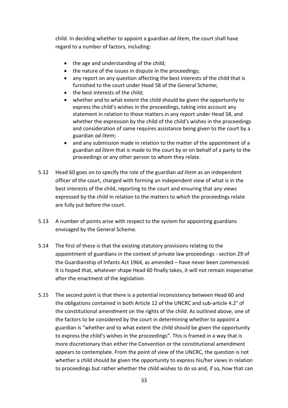child. In deciding whether to appoint a guardian *ad litem*, the court shall have regard to a number of factors, including:

- the age and understanding of the child;
- the nature of the issues in dispute in the proceedings;
- any report on any question affecting the best interests of the child that is furnished to the court under Head 58 of the General Scheme;
- the best interests of the child:
- whether and to what extent the child should be given the opportunity to express the child's wishes in the proceedings, taking into account any statement in relation to those matters in any report under Head 58, and whether the expression by the child of the child's wishes in the proceedings and consideration of same requires assistance being given to the court by a guardian *ad litem*;
- and any submission made in relation to the matter of the appointment of a guardian *ad litem* that is made to the court by or on behalf of a party to the proceedings or any other person to whom they relate.
- 5.12 Head 60 goes on to specify the role of the guardian *ad litem* as an independent officer of the court, charged with forming an independent view of what is in the best interests of the child, reporting to the court and ensuring that any views expressed by the child in relation to the matters to which the proceedings relate are fully put before the court.
- 5.13 A number of points arise with respect to the system for appointing guardians envisaged by the General Scheme.
- 5.14 The first of these is that the existing statutory provisions relating to the appointment of guardians in the context of private law proceedings - section 29 of the Guardianship of Infants Act 1964, as amended – have never been commenced. It is hoped that, whatever shape Head 60 finally takes, it will not remain inoperative after the enactment of the legislation.
- 5.15 The second point is that there is a potential inconsistency between Head 60 and the obligations contained in both Article 12 of the UNCRC and sub-article 4.2° of the constitutional amendment on the rights of the child. As outlined above, one of the factors to be considered by the court in determining whether to appoint a guardian is "whether and to what extent the child should be given the opportunity to express the child's wishes in the proceedings". This is framed in a way that is more discretionary than either the Convention or the constitutional amendment appears to contemplate. From the point of view of the UNCRC, the question is not whether a child should be given the opportunity to express his/her views in relation to proceedings but rather whether the child wishes to do so and, if so, how that can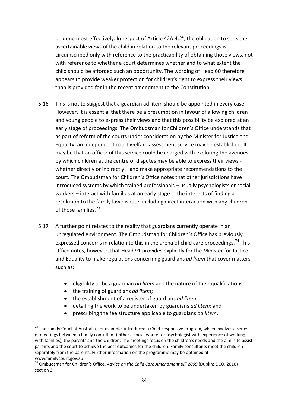be done most effectively. In respect of Article 42A.4.2°, the obligation to seek the ascertainable views of the child in relation to the relevant proceedings is circumscribed only with reference to the practicability of obtaining those views, not with reference to whether a court determines whether and to what extent the child should be afforded such an opportunity. The wording of Head 60 therefore appears to provide weaker protection for children's right to express their views than is provided for in the recent amendment to the Constitution.

- 5.16 This is not to suggest that a guardian ad litem should be appointed in every case. However, it is essential that there be a presumption in favour of allowing children and young people to express their views and that this possibility be explored at an early stage of proceedings. The Ombudsman for Children's Office understands that as part of reform of the courts under consideration by the Minister for Justice and Equality, an independent court welfare assessment service may be established. It may be that an officer of this service could be charged with exploring the avenues by which children at the centre of disputes may be able to express their views whether directly or indirectly – and make appropriate recommendations to the court. The Ombudsman for Children's Office notes that other jurisdictions have introduced systems by which trained professionals – usually psychologists or social workers – interact with families at an early stage in the interests of finding a resolution to the family law dispute, including direct interaction with any children of those families.<sup>[73](#page-34-0)</sup>
- 5.17 A further point relates to the reality that guardians currently operate in an unregulated environment. The Ombudsman for Children's Office has previously expressed concerns in relation to this in the arena of child care proceedings.<sup>[74](#page-34-1)</sup> This Office notes, however, that Head 91 provides explicitly for the Minister for Justice and Equality to make regulations concerning guardians *ad litem* that cover matters such as:
	- eligibility to be a guardian *ad litem* and the nature of their qualifications;
	- the training of guardians *ad litem*;

- the establishment of a register of guardians *ad litem*;
- detailing the work to be undertaken by guardians *ad litem*; and
- prescribing the fee structure applicable to guardians *ad litem*.

<span id="page-34-0"></span><sup>&</sup>lt;sup>73</sup> The Family Court of Australia, for example, introduced a Child Responsive Program, which involves a series of meetings between a family consultant (either a social worker or psychologist with experience of working with families), the parents and the children. The meetings focus on the children's needs and the aim is to assist parents and the court to achieve the best outcomes for the children. Family consultants meet the children separately from the parents. Further information on the programme may be obtained at

<span id="page-34-1"></span>www.familycourt.gov.au<br><sup>74</sup> Ombudsman for Children's Office, *Advice on the Child Care Amendment Bill 2009* (Dublin: OCO, 2010) section 3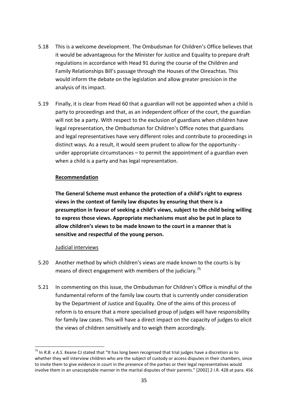- 5.18 This is a welcome development. The Ombudsman for Children's Office believes that it would be advantageous for the Minister for Justice and Equality to prepare draft regulations in accordance with Head 91 during the course of the Children and Family Relationships Bill's passage through the Houses of the Oireachtas. This would inform the debate on the legislation and allow greater precision in the analysis of its impact.
- 5.19 Finally, it is clear from Head 60 that a guardian will not be appointed when a child is party to proceedings and that, as an independent officer of the court, the guardian will not be a party. With respect to the exclusion of guardians when children have legal representation, the Ombudsman for Children's Office notes that guardians and legal representatives have very different roles and contribute to proceedings in distinct ways. As a result, it would seem prudent to allow for the opportunity under appropriate circumstances – to permit the appointment of a guardian even when a child is a party and has legal representation.

#### **Recommendation**

**The General Scheme must enhance the protection of a child's right to express views in the context of family law disputes by ensuring that there is a presumption in favour of seeking a child's views, subject to the child being willing to express those views. Appropriate mechanisms must also be put in place to allow children's views to be made known to the court in a manner that is sensitive and respectful of the young person.**

#### Judicial interviews

- 5.20 Another method by which children's views are made known to the courts is by means of direct engagement with members of the judiciary.<sup>[75](#page-35-0)</sup>
- 5.21 In commenting on this issue, the Ombudsman for Children's Office is mindful of the fundamental reform of the family law courts that is currently under consideration by the Department of Justice and Equality. One of the aims of this process of reform is to ensure that a more specialised group of judges will have responsibility for family law cases. This will have a direct impact on the capacity of judges to elicit the views of children sensitively and to weigh them accordingly.

<span id="page-35-0"></span><sup>75</sup> In *R.B. v A.S*. Keane CJ stated that "It has long been recognised that trial judges have a discretion as to whether they will interview children who are the subject of custody or access disputes in their chambers, since to invite them to give evidence in court in the presence of the parties or their legal representatives would involve them in an unacceptable manner in the marital disputes of their parents." [2002] 2 I.R. 428 at para. 456 1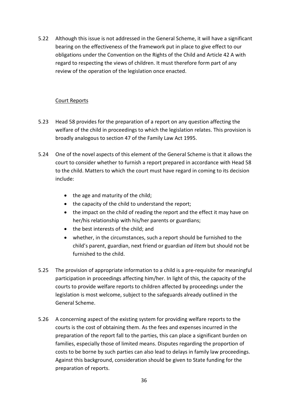5.22 Although this issue is not addressed in the General Scheme, it will have a significant bearing on the effectiveness of the framework put in place to give effect to our obligations under the Convention on the Rights of the Child and Article 42 A with regard to respecting the views of children. It must therefore form part of any review of the operation of the legislation once enacted.

### Court Reports

- 5.23 Head 58 provides for the preparation of a report on any question affecting the welfare of the child in proceedings to which the legislation relates. This provision is broadly analogous to section 47 of the Family Law Act 1995.
- 5.24 One of the novel aspects of this element of the General Scheme is that it allows the court to consider whether to furnish a report prepared in accordance with Head 58 to the child. Matters to which the court must have regard in coming to its decision include:
	- the age and maturity of the child;
	- the capacity of the child to understand the report;
	- the impact on the child of reading the report and the effect it may have on her/his relationship with his/her parents or guardians;
	- the best interests of the child; and
	- whether, in the circumstances, such a report should be furnished to the child's parent, guardian, next friend or guardian *ad litem* but should not be furnished to the child.
- 5.25 The provision of appropriate information to a child is a pre-requisite for meaningful participation in proceedings affecting him/her. In light of this, the capacity of the courts to provide welfare reports to children affected by proceedings under the legislation is most welcome, subject to the safeguards already outlined in the General Scheme.
- 5.26 A concerning aspect of the existing system for providing welfare reports to the courts is the cost of obtaining them. As the fees and expenses incurred in the preparation of the report fall to the parties, this can place a significant burden on families, especially those of limited means. Disputes regarding the proportion of costs to be borne by such parties can also lead to delays in family law proceedings. Against this background, consideration should be given to State funding for the preparation of reports.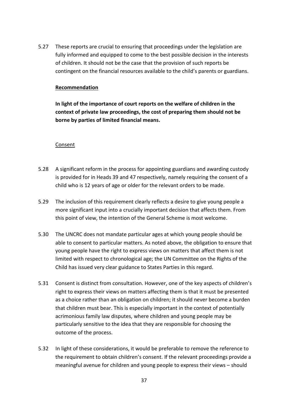5.27 These reports are crucial to ensuring that proceedings under the legislation are fully informed and equipped to come to the best possible decision in the interests of children. It should not be the case that the provision of such reports be contingent on the financial resources available to the child's parents or guardians.

#### **Recommendation**

**In light of the importance of court reports on the welfare of children in the context of private law proceedings, the cost of preparing them should not be borne by parties of limited financial means.**

#### Consent

- 5.28 A significant reform in the process for appointing guardians and awarding custody is provided for in Heads 39 and 47 respectively, namely requiring the consent of a child who is 12 years of age or older for the relevant orders to be made.
- 5.29 The inclusion of this requirement clearly reflects a desire to give young people a more significant input into a crucially important decision that affects them. From this point of view, the intention of the General Scheme is most welcome.
- 5.30 The UNCRC does not mandate particular ages at which young people should be able to consent to particular matters. As noted above, the obligation to ensure that young people have the right to express views on matters that affect them is not limited with respect to chronological age; the UN Committee on the Rights of the Child has issued very clear guidance to States Parties in this regard.
- 5.31 Consent is distinct from consultation. However, one of the key aspects of children's right to express their views on matters affecting them is that it must be presented as a choice rather than an obligation on children; it should never become a burden that children must bear. This is especially important in the context of potentially acrimonious family law disputes, where children and young people may be particularly sensitive to the idea that they are responsible for choosing the outcome of the process.
- 5.32 In light of these considerations, it would be preferable to remove the reference to the requirement to obtain children's consent. If the relevant proceedings provide a meaningful avenue for children and young people to express their views – should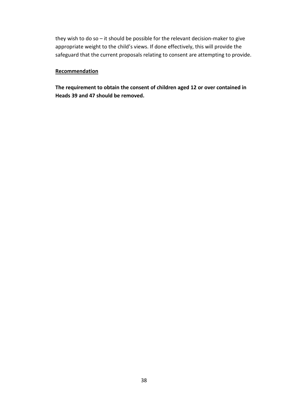they wish to do so – it should be possible for the relevant decision-maker to give appropriate weight to the child's views. If done effectively, this will provide the safeguard that the current proposals relating to consent are attempting to provide.

#### **Recommendation**

**The requirement to obtain the consent of children aged 12 or over contained in Heads 39 and 47 should be removed.**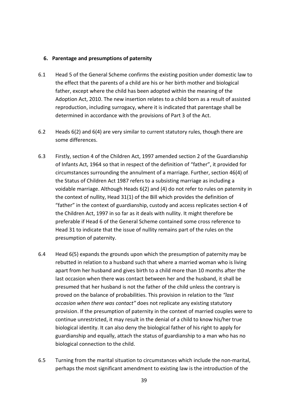#### <span id="page-39-0"></span>**6. Parentage and presumptions of paternity**

- 6.1 Head 5 of the General Scheme confirms the existing position under domestic law to the effect that the parents of a child are his or her birth mother and biological father, except where the child has been adopted within the meaning of the Adoption Act, 2010. The new insertion relates to a child born as a result of assisted reproduction, including surrogacy, where it is indicated that parentage shall be determined in accordance with the provisions of Part 3 of the Act.
- 6.2 Heads 6(2) and 6(4) are very similar to current statutory rules, though there are some differences.
- 6.3 Firstly, section 4 of the Children Act, 1997 amended section 2 of the Guardianship of Infants Act, 1964 so that in respect of the definition of "father", it provided for circumstances surrounding the annulment of a marriage. Further, section 46(4) of the Status of Children Act 1987 refers to a subsisting marriage as including a voidable marriage. Although Heads 6(2) and (4) do not refer to rules on paternity in the context of nullity, Head 31(1) of the Bill which provides the definition of "father" in the context of guardianship, custody and access replicates section 4 of the Children Act, 1997 in so far as it deals with nullity. It might therefore be preferable if Head 6 of the General Scheme contained some cross reference to Head 31 to indicate that the issue of nullity remains part of the rules on the presumption of paternity.
- 6.4 Head 6(5) expands the grounds upon which the presumption of paternity may be rebutted in relation to a husband such that where a married woman who is living apart from her husband and gives birth to a child more than 10 months after the last occasion when there was contact between her and the husband, it shall be presumed that her husband is not the father of the child unless the contrary is proved on the balance of probabilities. This provision in relation to the *"last occasion when there was contact"* does not replicate any existing statutory provision. If the presumption of paternity in the context of married couples were to continue unrestricted, it may result in the denial of a child to know his/her true biological identity. It can also deny the biological father of his right to apply for guardianship and equally, attach the status of guardianship to a man who has no biological connection to the child.
- 6.5 Turning from the marital situation to circumstances which include the non-marital, perhaps the most significant amendment to existing law is the introduction of the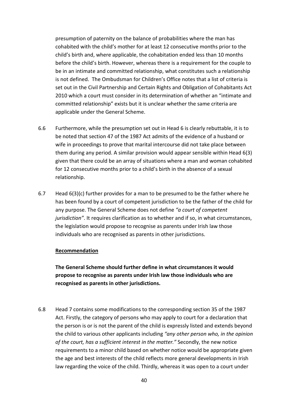presumption of paternity on the balance of probabilities where the man has cohabited with the child's mother for at least 12 consecutive months prior to the child's birth and, where applicable, the cohabitation ended less than 10 months before the child's birth. However, whereas there is a requirement for the couple to be in an intimate and committed relationship, what constitutes such a relationship is not defined. The Ombudsman for Children's Office notes that a list of criteria is set out in the Civil Partnership and Certain Rights and Obligation of Cohabitants Act 2010 which a court must consider in its determination of whether an "intimate and committed relationship" exists but it is unclear whether the same criteria are applicable under the General Scheme.

- 6.6 Furthermore, while the presumption set out in Head 6 is clearly rebuttable, it is to be noted that section 47 of the 1987 Act admits of the evidence of a husband or wife in proceedings to prove that marital intercourse did not take place between them during any period. A similar provision would appear sensible within Head 6(3) given that there could be an array of situations where a man and woman cohabited for 12 consecutive months prior to a child's birth in the absence of a sexual relationship.
- 6.7 Head  $6(3)(c)$  further provides for a man to be presumed to be the father where he has been found by a court of competent jurisdiction to be the father of the child for any purpose. The General Scheme does not define *"a court of competent jurisdiction"*. It requires clarification as to whether and if so, in what circumstances, the legislation would propose to recognise as parents under Irish law those individuals who are recognised as parents in other jurisdictions.

#### **Recommendation**

**The General Scheme should further define in what circumstances it would propose to recognise as parents under Irish law those individuals who are recognised as parents in other jurisdictions.**

6.8 Head 7 contains some modifications to the corresponding section 35 of the 1987 Act. Firstly, the category of persons who may apply to court for a declaration that the person is or is not the parent of the child is expressly listed and extends beyond the child to various other applicants including *"any other person who, in the opinion of the court, has a sufficient interest in the matter."* Secondly, the new notice requirements to a minor child based on whether notice would be appropriate given the age and best interests of the child reflects more general developments in Irish law regarding the voice of the child. Thirdly, whereas it was open to a court under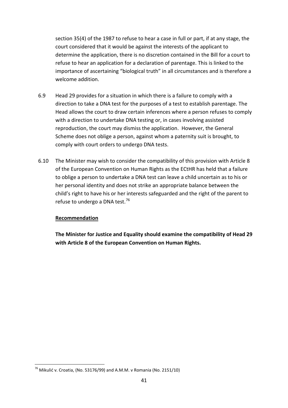section 35(4) of the 1987 to refuse to hear a case in full or part, if at any stage, the court considered that it would be against the interests of the applicant to determine the application, there is no discretion contained in the Bill for a court to refuse to hear an application for a declaration of parentage. This is linked to the importance of ascertaining "biological truth" in all circumstances and is therefore a welcome addition.

- 6.9 Head 29 provides for a situation in which there is a failure to comply with a direction to take a DNA test for the purposes of a test to establish parentage. The Head allows the court to draw certain inferences where a person refuses to comply with a direction to undertake DNA testing or, in cases involving assisted reproduction, the court may dismiss the application. However, the General Scheme does not oblige a person, against whom a paternity suit is brought, to comply with court orders to undergo DNA tests.
- 6.10 The Minister may wish to consider the compatibility of this provision with Article 8 of the European Convention on Human Rights as the ECtHR has held that a failure to oblige a person to undertake a DNA test can leave a child uncertain as to his or her personal identity and does not strike an appropriate balance between the child's right to have his or her interests safeguarded and the right of the parent to refuse to undergo a DNA test.<sup>[76](#page-41-0)</sup>

### **Recommendation**

-

**The Minister for Justice and Equality should examine the compatibility of Head 29 with Article 8 of the European Convention on Human Rights.**

<span id="page-41-0"></span> $76$  Mikulić v. Croatia, (No. 53176/99) and A.M.M. v Romania (No. 2151/10)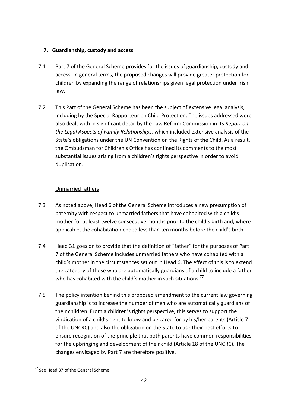## <span id="page-42-0"></span>**7. Guardianship, custody and access**

- 7.1 Part 7 of the General Scheme provides for the issues of guardianship, custody and access. In general terms, the proposed changes will provide greater protection for children by expanding the range of relationships given legal protection under Irish law.
- 7.2 This Part of the General Scheme has been the subject of extensive legal analysis, including by the Special Rapporteur on Child Protection. The issues addressed were also dealt with in significant detail by the Law Reform Commission in its *Report on the Legal Aspects of Family Relationships,* which included extensive analysis of the State's obligations under the UN Convention on the Rights of the Child. As a result, the Ombudsman for Children's Office has confined its comments to the most substantial issues arising from a children's rights perspective in order to avoid duplication.

## Unmarried fathers

- 7.3 As noted above, Head 6 of the General Scheme introduces a new presumption of paternity with respect to unmarried fathers that have cohabited with a child's mother for at least twelve consecutive months prior to the child's birth and, where applicable, the cohabitation ended less than ten months before the child's birth.
- 7.4 Head 31 goes on to provide that the definition of "father" for the purposes of Part 7 of the General Scheme includes unmarried fathers who have cohabited with a child's mother in the circumstances set out in Head 6. The effect of this is to extend the category of those who are automatically guardians of a child to include a father who has cohabited with the child's mother in such situations.<sup>[77](#page-42-1)</sup>
- 7.5 The policy intention behind this proposed amendment to the current law governing guardianship is to increase the number of men who are automatically guardians of their children. From a children's rights perspective, this serves to support the vindication of a child's right to know and be cared for by his/her parents (Article 7 of the UNCRC) and also the obligation on the State to use their best efforts to ensure recognition of the principle that both parents have common responsibilities for the upbringing and development of their child (Article 18 of the UNCRC). The changes envisaged by Part 7 are therefore positive.

<span id="page-42-1"></span><sup>77</sup> See Head 37 of the General Scheme -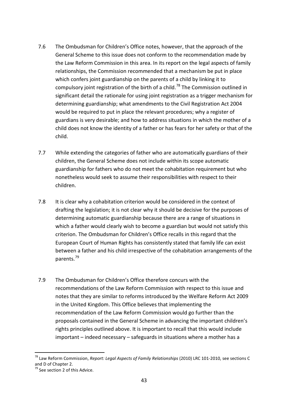- 7.6 The Ombudsman for Children's Office notes, however, that the approach of the General Scheme to this issue does not conform to the recommendation made by the Law Reform Commission in this area. In its report on the legal aspects of family relationships, the Commission recommended that a mechanism be put in place which confers joint guardianship on the parents of a child by linking it to compulsory joint registration of the birth of a child.<sup>[78](#page-43-0)</sup> The Commission outlined in significant detail the rationale for using joint registration as a trigger mechanism for determining guardianship; what amendments to the Civil Registration Act 2004 would be required to put in place the relevant procedures; why a register of guardians is very desirable; and how to address situations in which the mother of a child does not know the identity of a father or has fears for her safety or that of the child.
- 7.7 While extending the categories of father who are automatically guardians of their children, the General Scheme does not include within its scope automatic guardianship for fathers who do not meet the cohabitation requirement but who nonetheless would seek to assume their responsibilities with respect to their children.
- 7.8 It is clear why a cohabitation criterion would be considered in the context of drafting the legislation; it is not clear why it should be decisive for the purposes of determining automatic guardianship because there are a range of situations in which a father would clearly wish to become a guardian but would not satisfy this criterion. The Ombudsman for Children's Office recalls in this regard that the European Court of Human Rights has consistently stated that family life can exist between a father and his child irrespective of the cohabitation arrangements of the parents.<sup>[79](#page-43-1)</sup>
- 7.9 The Ombudsman for Children's Office therefore concurs with the recommendations of the Law Reform Commission with respect to this issue and notes that they are similar to reforms introduced by the Welfare Reform Act 2009 in the United Kingdom. This Office believes that implementing the recommendation of the Law Reform Commission would go further than the proposals contained in the General Scheme in advancing the important children's rights principles outlined above. It is important to recall that this would include important – indeed necessary – safeguards in situations where a mother has a

<span id="page-43-0"></span><sup>78</sup> Law Reform Commission, *Report: Legal Aspects of Family Relationships* (2010) LRC 101-2010, see sections C and D of Chapter 2.

<span id="page-43-1"></span><sup>&</sup>lt;sup>79</sup> See section 2 of this Advice.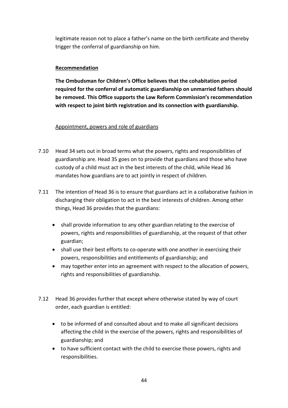legitimate reason not to place a father's name on the birth certificate and thereby trigger the conferral of guardianship on him.

### **Recommendation**

**The Ombudsman for Children's Office believes that the cohabitation period required for the conferral of automatic guardianship on unmarried fathers should be removed. This Office supports the Law Reform Commission's recommendation with respect to joint birth registration and its connection with guardianship.**

### Appointment, powers and role of guardians

- 7.10 Head 34 sets out in broad terms what the powers, rights and responsibilities of guardianship are. Head 35 goes on to provide that guardians and those who have custody of a child must act in the best interests of the child, while Head 36 mandates how guardians are to act jointly in respect of children.
- 7.11 The intention of Head 36 is to ensure that guardians act in a collaborative fashion in discharging their obligation to act in the best interests of children. Among other things, Head 36 provides that the guardians:
	- shall provide information to any other guardian relating to the exercise of powers, rights and responsibilities of guardianship, at the request of that other guardian;
	- shall use their best efforts to co-operate with one another in exercising their powers, responsibilities and entitlements of guardianship; and
	- may together enter into an agreement with respect to the allocation of powers, rights and responsibilities of guardianship.
- 7.12 Head 36 provides further that except where otherwise stated by way of court order, each guardian is entitled:
	- to be informed of and consulted about and to make all significant decisions affecting the child in the exercise of the powers, rights and responsibilities of guardianship; and
	- to have sufficient contact with the child to exercise those powers, rights and responsibilities.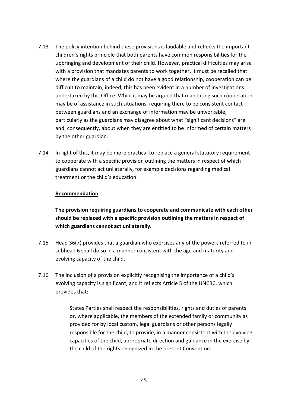- 7.13 The policy intention behind these provisions is laudable and reflects the important children's rights principle that both parents have common responsibilities for the upbringing and development of their child. However, practical difficulties may arise with a provision that mandates parents to work together. It must be recalled that where the guardians of a child do not have a good relationship, cooperation can be difficult to maintain; indeed, this has been evident in a number of investigations undertaken by this Office. While it may be argued that mandating such cooperation may be of assistance in such situations, requiring there to be consistent contact between guardians and an exchange of information may be unworkable, particularly as the guardians may disagree about what "significant decisions" are and, consequently, about when they are entitled to be informed of certain matters by the other guardian.
- 7.14 In light of this, it may be more practical to replace a general statutory requirement to cooperate with a specific provision outlining the matters in respect of which guardians cannot act unilaterally, for example decisions regarding medical treatment or the child's education.

#### **Recommendation**

**The provision requiring guardians to cooperate and communicate with each other should be replaced with a specific provision outlining the matters in respect of which guardians cannot act unilaterally.**

- 7.15 Head 36(7) provides that a guardian who exercises any of the powers referred to in subhead 6 shall do so in a manner consistent with the age and maturity and evolving capacity of the child.
- 7.16 The inclusion of a provision explicitly recognising the importance of a child's evolving capacity is significant, and it reflects Article 5 of the UNCRC, which provides that:

States Parties shall respect the responsibilities, rights and duties of parents or, where applicable, the members of the extended family or community as provided for by local custom, legal guardians or other persons legally responsible for the child, to provide, in a manner consistent with the evolving capacities of the child, appropriate direction and guidance in the exercise by the child of the rights recognized in the present Convention.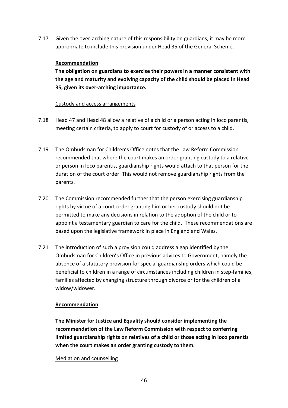7.17 Given the over-arching nature of this responsibility on guardians, it may be more appropriate to include this provision under Head 35 of the General Scheme.

### **Recommendation**

**The obligation on guardians to exercise their powers in a manner consistent with the age and maturity and evolving capacity of the child should be placed in Head 35, given its over-arching importance.**

### Custody and access arrangements

- 7.18 Head 47 and Head 48 allow a relative of a child or a person acting in loco parentis, meeting certain criteria, to apply to court for custody of or access to a child.
- 7.19 The Ombudsman for Children's Office notes that the Law Reform Commission recommended that where the court makes an order granting custody to a relative or person in loco parentis, guardianship rights would attach to that person for the duration of the court order. This would not remove guardianship rights from the parents.
- 7.20 The Commission recommended further that the person exercising guardianship rights by virtue of a court order granting him or her custody should not be permitted to make any decisions in relation to the adoption of the child or to appoint a testamentary guardian to care for the child. These recommendations are based upon the legislative framework in place in England and Wales.
- 7.21 The introduction of such a provision could address a gap identified by the Ombudsman for Children's Office in previous advices to Government, namely the absence of a statutory provision for special guardianship orders which could be beneficial to children in a range of circumstances including children in step-families, families affected by changing structure through divorce or for the children of a widow/widower.

## **Recommendation**

**The Minister for Justice and Equality should consider implementing the recommendation of the Law Reform Commission with respect to conferring limited guardianship rights on relatives of a child or those acting in loco parentis when the court makes an order granting custody to them.**

### Mediation and counselling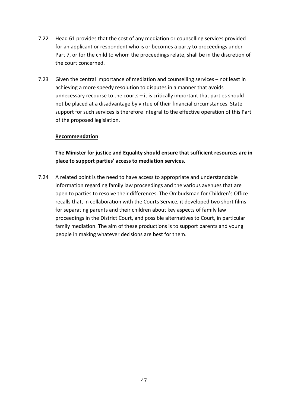- 7.22 Head 61 provides that the cost of any mediation or counselling services provided for an applicant or respondent who is or becomes a party to proceedings under Part 7, or for the child to whom the proceedings relate, shall be in the discretion of the court concerned.
- 7.23 Given the central importance of mediation and counselling services not least in achieving a more speedy resolution to disputes in a manner that avoids unnecessary recourse to the courts – it is critically important that parties should not be placed at a disadvantage by virtue of their financial circumstances. State support for such services is therefore integral to the effective operation of this Part of the proposed legislation.

#### **Recommendation**

**The Minister for justice and Equality should ensure that sufficient resources are in place to support parties' access to mediation services.**

7.24 A related point is the need to have access to appropriate and understandable information regarding family law proceedings and the various avenues that are open to parties to resolve their differences. The Ombudsman for Children's Office recalls that, in collaboration with the Courts Service, it developed two short films for separating parents and their children about key aspects of family law proceedings in the District Court, and possible alternatives to Court, in particular family mediation. The aim of these productions is to support parents and young people in making whatever decisions are best for them.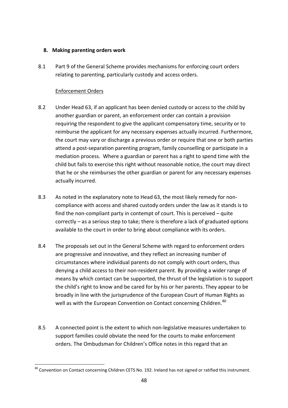#### <span id="page-48-0"></span>**8. Making parenting orders work**

8.1 Part 9 of the General Scheme provides mechanisms for enforcing court orders relating to parenting, particularly custody and access orders.

### Enforcement Orders

- 8.2 Under Head 63, if an applicant has been denied custody or access to the child by another guardian or parent, an enforcement order can contain a provision requiring the respondent to give the applicant compensatory time, security or to reimburse the applicant for any necessary expenses actually incurred. Furthermore, the court may vary or discharge a previous order or require that one or both parties attend a post-separation parenting program, family counselling or participate in a mediation process.Where a guardian or parent has a right to spend time with the child but fails to exercise this right without reasonable notice, the court may direct that he or she reimburses the other guardian or parent for any necessary expenses actually incurred.
- 8.3 As noted in the explanatory note to Head 63, the most likely remedy for noncompliance with access and shared custody orders under the law as it stands is to find the non-compliant party in contempt of court. This is perceived – quite correctly – as a serious step to take; there is therefore a lack of graduated options available to the court in order to bring about compliance with its orders.
- 8.4 The proposals set out in the General Scheme with regard to enforcement orders are progressive and innovative, and they reflect an increasing number of circumstances where individual parents do not comply with court orders, thus denying a child access to their non-resident parent. By providing a wider range of means by which contact can be supported, the thrust of the legislation is to support the child's right to know and be cared for by his or her parents. They appear to be broadly in line with the jurisprudence of the European Court of Human Rights as well as with the European Convention on Contact concerning Children.<sup>[80](#page-48-1)</sup>
- 8.5 A connected point is the extent to which non-legislative measures undertaken to support families could obviate the need for the courts to make enforcement orders. The Ombudsman for Children's Office notes in this regard that an

<span id="page-48-1"></span><sup>&</sup>lt;sup>80</sup> Convention on Contact concerning Children CETS No. 192. Ireland has not signed or ratified this instrument. -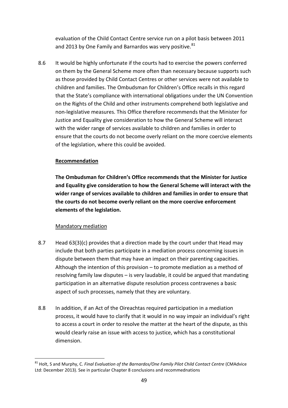evaluation of the Child Contact Centre service run on a pilot basis between 2011 and 2013 by One Family and Barnardos was very positive.<sup>[81](#page-49-0)</sup>

8.6 It would be highly unfortunate if the courts had to exercise the powers conferred on them by the General Scheme more often than necessary because supports such as those provided by Child Contact Centres or other services were not available to children and families. The Ombudsman for Children's Office recalls in this regard that the State's compliance with international obligations under the UN Convention on the Rights of the Child and other instruments comprehend both legislative and non-legislative measures. This Office therefore recommends that the Minister for Justice and Equality give consideration to how the General Scheme will interact with the wider range of services available to children and families in order to ensure that the courts do not become overly reliant on the more coercive elements of the legislation, where this could be avoided.

### **Recommendation**

**The Ombudsman for Children's Office recommends that the Minister for Justice and Equality give consideration to how the General Scheme will interact with the wider range of services available to children and families in order to ensure that the courts do not become overly reliant on the more coercive enforcement elements of the legislation.**

### Mandatory mediation

1

- 8.7 Head 63(3)(c) provides that a direction made by the court under that Head may include that both parties participate in a mediation process concerning issues in dispute between them that may have an impact on their parenting capacities. Although the intention of this provision – to promote mediation as a method of resolving family law disputes – is very laudable, it could be argued that mandating participation in an alternative dispute resolution process contravenes a basic aspect of such processes, namely that they are voluntary.
- 8.8 In addition, if an Act of the Oireachtas required participation in a mediation process, it would have to clarify that it would in no way impair an individual's right to access a court in order to resolve the matter at the heart of the dispute, as this would clearly raise an issue with access to justice, which has a constitutional dimension.

<span id="page-49-0"></span><sup>81</sup> Holt, S and Murphy, C. *Final Evaluation of the Barnardos/One Family Pilot Child Contact Centre* (CMAdvice Ltd: December 2013). See in particular Chapter 8 conclusions and recommednations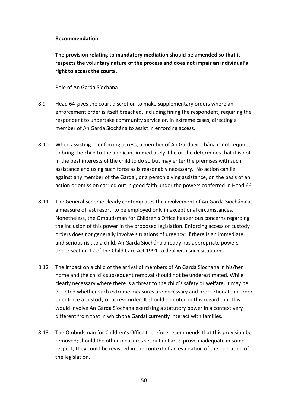#### **Recommendation**

**The provision relating to mandatory mediation should be amended so that it respects the voluntary nature of the process and does not impair an individual's right to access the courts.**

#### Role of An Garda Síochána

- 8.9 Head 64 gives the court discretion to make supplementary orders where an enforcement order is itself breached, including fining the respondent, requiring the respondent to undertake community service or, in extreme cases, directing a member of An Garda Síochána to assist in enforcing access.
- 8.10 When assisting in enforcing access, a member of An Garda Síochána is not required to bring the child to the applicant immediately if he or she determines that it is not in the best interests of the child to do so but may enter the premises with such assistance and using such force as is reasonably necessary.No action can lie against any member of the Gardaí, or a person giving assistance, on the basis of an action or omission carried out in good faith under the powers conferred in Head 66.
- 8.11 The General Scheme clearly contemplates the involvement of An Garda Síochána as a measure of last resort, to be employed only in exceptional circumstances. Nonetheless, the Ombudsman for Children's Office has serious concerns regarding the inclusion of this power in the proposed legislation. Enforcing access or custody orders does not generally involve situations of urgency; if there is an immediate and serious risk to a child, An Garda Síochána already has appropriate powers under section 12 of the Child Care Act 1991 to deal with such situations.
- 8.12 The impact on a child of the arrival of members of An Garda Síochána in his/her home and the child's subsequent removal should not be underestimated. While clearly necessary where there is a threat to the child's safety or welfare, it may be doubted whether such extreme measures are necessary and proportionate in order to enforce a custody or access order. It should be noted in this regard that this would involve An Garda Síochána exercising a statutory power in a context very different from that in which the Gardaí currently interact with families.
- 8.13 The Ombudsman for Children's Office therefore recommends that this provision be removed; should the other measures set out in Part 9 prove inadequate in some respect, they could be revisited in the context of an evaluation of the operation of the legislation.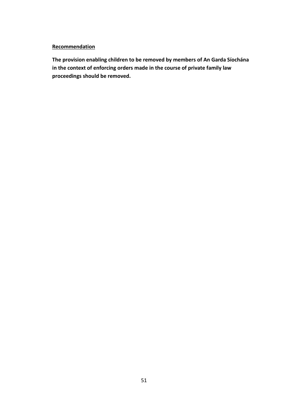### **Recommendation**

**The provision enabling children to be removed by members of An Garda Síochána in the context of enforcing orders made in the course of private family law proceedings should be removed.**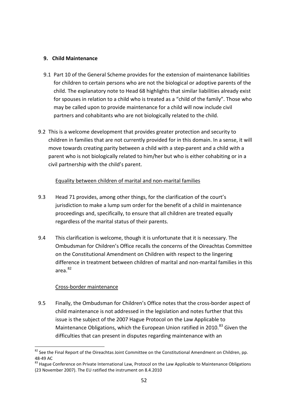#### <span id="page-52-0"></span>**9. Child Maintenance**

- 9.1 Part 10 of the General Scheme provides for the extension of maintenance liabilities for children to certain persons who are not the biological or adoptive parents of the child. The explanatory note to Head 68 highlights that similar liabilities already exist for spouses in relation to a child who is treated as a "child of the family". Those who may be called upon to provide maintenance for a child will now include civil partners and cohabitants who are not biologically related to the child.
- 9.2 This is a welcome development that provides greater protection and security to children in families that are not currently provided for in this domain. In a sense, it will move towards creating parity between a child with a step-parent and a child with a parent who is not biologically related to him/her but who is either cohabiting or in a civil partnership with the child's parent.

### Equality between children of marital and non-marital families

- 9.3 Head 71 provides, among other things, for the clarification of the court's jurisdiction to make a lump sum order for the benefit of a child in maintenance proceedings and, specifically, to ensure that all children are treated equally regardless of the marital status of their parents.
- 9.4 This clarification is welcome, though it is unfortunate that it is necessary. The Ombudsman for Children's Office recalls the concerns of the Oireachtas Committee on the Constitutional Amendment on Children with respect to the lingering difference in treatment between children of marital and non-marital families in this area. $82$

### Cross-border maintenance

9.5 Finally, the Ombudsman for Children's Office notes that the cross-border aspect of child maintenance is not addressed in the legislation and notes further that this issue is the subject of the 2007 Hague Protocol on the Law Applicable to Maintenance Obligations, which the European Union ratified in 2010.<sup>[83](#page-52-2)</sup> Given the difficulties that can present in disputes regarding maintenance with an

<span id="page-52-1"></span><sup>&</sup>lt;sup>82</sup> See the Final Report of the Oireachtas Joint Committee on the Constitutional Amendment on Children, pp. 1

<span id="page-52-2"></span><sup>48-49</sup> AC<br><sup>83</sup> Hague Conference on Private International Law, Protocol on the Law Applicable to Maintenance Obligations (23 November 2007). The EU ratified the instrument on 8.4.2010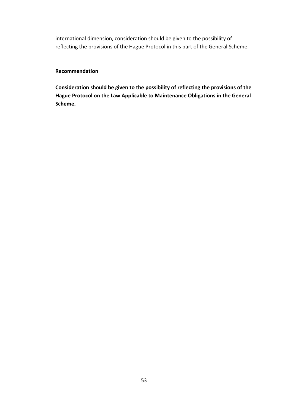international dimension, consideration should be given to the possibility of reflecting the provisions of the Hague Protocol in this part of the General Scheme.

#### **Recommendation**

**Consideration should be given to the possibility of reflecting the provisions of the Hague Protocol on the Law Applicable to Maintenance Obligations in the General Scheme.**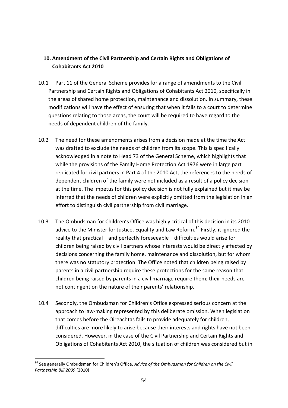## <span id="page-54-0"></span>**10. Amendment of the Civil Partnership and Certain Rights and Obligations of Cohabitants Act 2010**

- 10.1 Part 11 of the General Scheme provides for a range of amendments to the Civil Partnership and Certain Rights and Obligations of Cohabitants Act 2010, specifically in the areas of shared home protection, maintenance and dissolution. In summary, these modifications will have the effect of ensuring that when it falls to a court to determine questions relating to those areas, the court will be required to have regard to the needs of dependent children of the family.
- 10.2 The need for these amendments arises from a decision made at the time the Act was drafted to exclude the needs of children from its scope. This is specifically acknowledged in a note to Head 73 of the General Scheme, which highlights that while the provisions of the Family Home Protection Act 1976 were in large part replicated for civil partners in Part 4 of the 2010 Act, the references to the needs of dependent children of the family were not included as a result of a policy decision at the time. The impetus for this policy decision is not fully explained but it may be inferred that the needs of children were explicitly omitted from the legislation in an effort to distinguish civil partnership from civil marriage.
- 10.3 The Ombudsman for Children's Office was highly critical of this decision in its 2010 advice to the Minister for Justice, Equality and Law Reform.<sup>[84](#page-54-1)</sup> Firstly, it ignored the reality that practical – and perfectly foreseeable – difficulties would arise for children being raised by civil partners whose interests would be directly affected by decisions concerning the family home, maintenance and dissolution, but for whom there was no statutory protection. The Office noted that children being raised by parents in a civil partnership require these protections for the same reason that children being raised by parents in a civil marriage require them; their needs are not contingent on the nature of their parents' relationship.
- 10.4 Secondly, the Ombudsman for Children's Office expressed serious concern at the approach to law-making represented by this deliberate omission. When legislation that comes before the Oireachtas fails to provide adequately for children, difficulties are more likely to arise because their interests and rights have not been considered. However, in the case of the Civil Partnership and Certain Rights and Obligations of Cohabitants Act 2010, the situation of children was considered but in

<span id="page-54-1"></span><sup>84</sup> See generally Ombudsman for Children's Office, *Advice of the Ombudsman for Children on the Civil Partnership Bill 2009* (2010) 1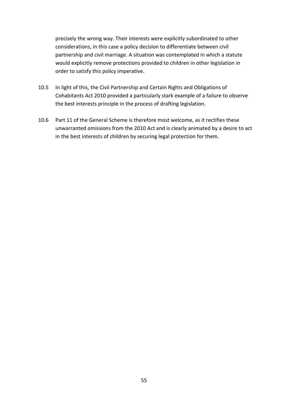precisely the wrong way. Their interests were explicitly subordinated to other considerations, in this case a policy decision to differentiate between civil partnership and civil marriage. A situation was contemplated in which a statute would explicitly remove protections provided to children in other legislation in order to satisfy this policy imperative.

- 10.5 In light of this, the Civil Partnership and Certain Rights and Obligations of Cohabitants Act 2010 provided a particularly stark example of a failure to observe the best interests principle in the process of drafting legislation.
- 10.6 Part 11 of the General Scheme is therefore most welcome, as it rectifies these unwarranted omissions from the 2010 Act and is clearly animated by a desire to act in the best interests of children by securing legal protection for them.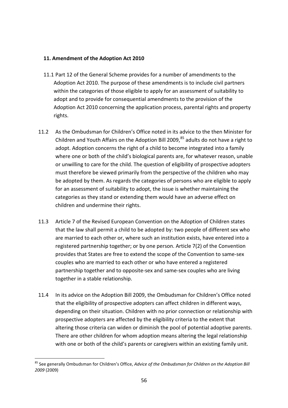#### <span id="page-56-0"></span>**11. Amendment of the Adoption Act 2010**

- 11.1 Part 12 of the General Scheme provides for a number of amendments to the Adoption Act 2010. The purpose of these amendments is to include civil partners within the categories of those eligible to apply for an assessment of suitability to adopt and to provide for consequential amendments to the provision of the Adoption Act 2010 concerning the application process, parental rights and property rights.
- 11.2 As the Ombudsman for Children's Office noted in its advice to the then Minister for Children and Youth Affairs on the Adoption Bill 2009.<sup>[85](#page-56-1)</sup> adults do not have a right to adopt. Adoption concerns the right of a child to become integrated into a family where one or both of the child's biological parents are, for whatever reason, unable or unwilling to care for the child. The question of eligibility of prospective adopters must therefore be viewed primarily from the perspective of the children who may be adopted by them. As regards the categories of persons who are eligible to apply for an assessment of suitability to adopt, the issue is whether maintaining the categories as they stand or extending them would have an adverse effect on children and undermine their rights.
- 11.3 Article 7 of the Revised European Convention on the Adoption of Children states that the law shall permit a child to be adopted by: two people of different sex who are married to each other or, where such an institution exists, have entered into a registered partnership together; or by one person. Article 7(2) of the Convention provides that States are free to extend the scope of the Convention to same-sex couples who are married to each other or who have entered a registered partnership together and to opposite-sex and same-sex couples who are living together in a stable relationship.
- 11.4 In its advice on the Adoption Bill 2009, the Ombudsman for Children's Office noted that the eligibility of prospective adopters can affect children in different ways, depending on their situation. Children with no prior connection or relationship with prospective adopters are affected by the eligibility criteria to the extent that altering those criteria can widen or diminish the pool of potential adoptive parents. There are other children for whom adoption means altering the legal relationship with one or both of the child's parents or caregivers within an existing family unit.

<span id="page-56-1"></span><sup>85</sup> See generally Ombudsman for Children's Office, *Advice of the Ombudsman for Children on the Adoption Bill 2009* (2009) 1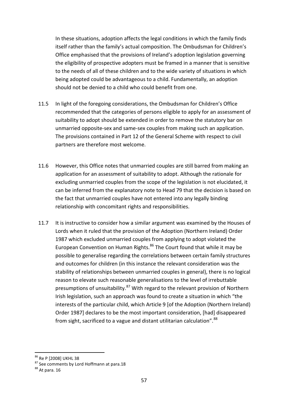In these situations, adoption affects the legal conditions in which the family finds itself rather than the family's actual composition. The Ombudsman for Children's Office emphasised that the provisions of Ireland's adoption legislation governing the eligibility of prospective adopters must be framed in a manner that is sensitive to the needs of all of these children and to the wide variety of situations in which being adopted could be advantageous to a child. Fundamentally, an adoption should not be denied to a child who could benefit from one.

- 11.5 In light of the foregoing considerations, the Ombudsman for Children's Office recommended that the categories of persons eligible to apply for an assessment of suitability to adopt should be extended in order to remove the statutory bar on unmarried opposite-sex and same-sex couples from making such an application. The provisions contained in Part 12 of the General Scheme with respect to civil partners are therefore most welcome.
- 11.6 However, this Office notes that unmarried couples are still barred from making an application for an assessment of suitability to adopt. Although the rationale for excluding unmarried couples from the scope of the legislation is not elucidated, it can be inferred from the explanatory note to Head 79 that the decision is based on the fact that unmarried couples have not entered into any legally binding relationship with concomitant rights and responsibilities.
- 11.7 It is instructive to consider how a similar argument was examined by the Houses of Lords when it ruled that the provision of the Adoption (Northern Ireland) Order 1987 which excluded unmarried couples from applying to adopt violated the European Convention on Human Rights.<sup>[86](#page-57-0)</sup> The Court found that while it may be possible to generalise regarding the correlations between certain family structures and outcomes for children (in this instance the relevant consideration was the stability of relationships between unmarried couples in general), there is no logical reason to elevate such reasonable generalisations to the level of irrebuttable presumptions of unsuitability.<sup>[87](#page-57-1)</sup> With regard to the relevant provision of Northern Irish legislation, such an approach was found to create a situation in which "the interests of the particular child, which Article 9 [of the Adoption (Northern Ireland) Order 1987] declares to be the most important consideration, [had] disappeared from sight, sacrificed to a vague and distant utilitarian calculation".<sup>[88](#page-57-2)</sup>

<sup>&</sup>lt;sup>86</sup> Re P [2008] UKHL 38

<span id="page-57-1"></span><span id="page-57-0"></span> $87$  See comments by Lord Hoffmann at para.18<br> $88$  At para. 16

<span id="page-57-2"></span>